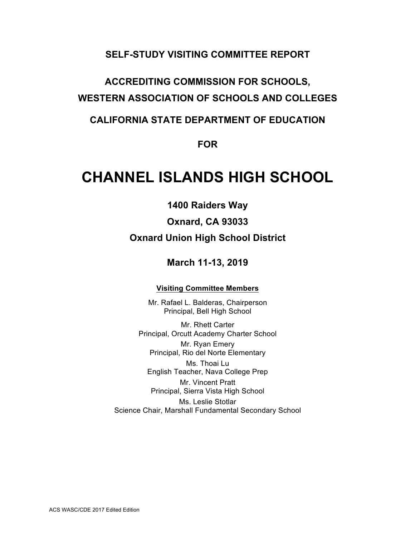# **SELF-STUDY VISITING COMMITTEE REPORT**

# **ACCREDITING COMMISSION FOR SCHOOLS, WESTERN ASSOCIATION OF SCHOOLS AND COLLEGES**

# **CALIFORNIA STATE DEPARTMENT OF EDUCATION**

# **FOR**

# **CHANNEL ISLANDS HIGH SCHOOL**

**1400 Raiders Way**

**Oxnard, CA 93033 Oxnard Union High School District**

# **March 11-13, 2019**

#### **Visiting Committee Members**

Mr. Rafael L. Balderas, Chairperson Principal, Bell High School

Mr. Rhett Carter Principal, Orcutt Academy Charter School Mr. Ryan Emery Principal, Rio del Norte Elementary Ms. Thoai Lu English Teacher, Nava College Prep Mr. Vincent Pratt Principal, Sierra Vista High School Ms. Leslie Stotlar Science Chair, Marshall Fundamental Secondary School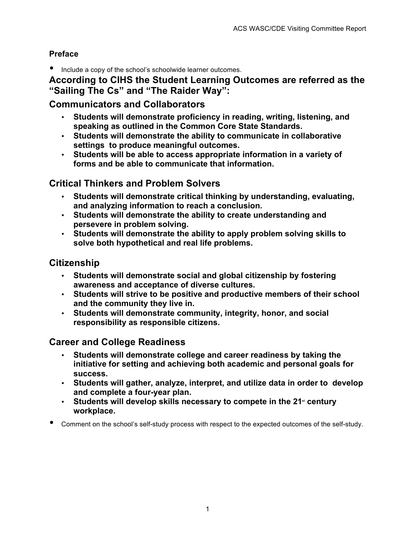# **Preface**

• Include a copy of the school's schoolwide learner outcomes.

# **According to CIHS the Student Learning Outcomes are referred as the "Sailing The Cs" and "The Raider Way":**

# **Communicators and Collaborators**

- **Students will demonstrate proficiency in reading, writing, listening, and speaking as outlined in the Common Core State Standards.**
- **Students will demonstrate the ability to communicate in collaborative settings to produce meaningful outcomes.**
- **Students will be able to access appropriate information in a variety of forms and be able to communicate that information.**

# **Critical Thinkers and Problem Solvers**

- **Students will demonstrate critical thinking by understanding, evaluating, and analyzing information to reach a conclusion.**
- **Students will demonstrate the ability to create understanding and persevere in problem solving.**
- **Students will demonstrate the ability to apply problem solving skills to solve both hypothetical and real life problems.**

# **Citizenship**

- **Students will demonstrate social and global citizenship by fostering awareness and acceptance of diverse cultures.**
- **Students will strive to be positive and productive members of their school and the community they live in.**
- **Students will demonstrate community, integrity, honor, and social responsibility as responsible citizens.**

# **Career and College Readiness**

- **Students will demonstrate college and career readiness by taking the initiative for setting and achieving both academic and personal goals for success.**
- **Students will gather, analyze, interpret, and utilize data in order to develop and complete a four-year plan.**
- Students will develop skills necessary to compete in the 21<sup>st</sup> century **workplace.**
- Comment on the school's self-study process with respect to the expected outcomes of the self-study.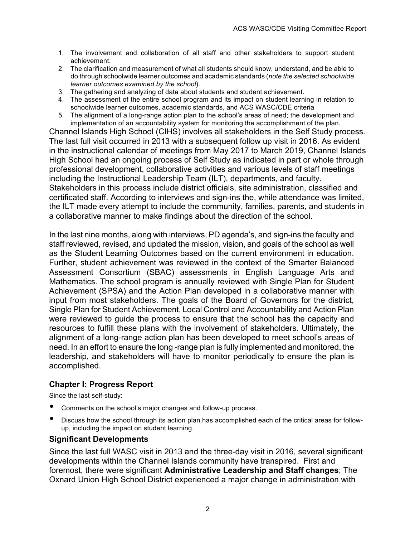- 1. The involvement and collaboration of all staff and other stakeholders to support student achievement.
- 2. The clarification and measurement of what all students should know, understand, and be able to do through schoolwide learner outcomes and academic standards (*note the selected schoolwide learner outcomes examined by the school*).
- 3. The gathering and analyzing of data about students and student achievement.
- 4. The assessment of the entire school program and its impact on student learning in relation to schoolwide learner outcomes, academic standards, and ACS WASC/CDE criteria
- 5. The alignment of a long-range action plan to the school's areas of need; the development and implementation of an accountability system for monitoring the accomplishment of the plan.

Channel Islands High School (CIHS) involves all stakeholders in the Self Study process. The last full visit occurred in 2013 with a subsequent follow up visit in 2016. As evident in the instructional calendar of meetings from May 2017 to March 2019, Channel Islands High School had an ongoing process of Self Study as indicated in part or whole through professional development, collaborative activities and various levels of staff meetings including the Instructional Leadership Team (ILT), departments, and faculty. Stakeholders in this process include district officials, site administration, classified and certificated staff. According to interviews and sign-ins the, while attendance was limited, the ILT made every attempt to include the community, families, parents, and students in a collaborative manner to make findings about the direction of the school.

In the last nine months, along with interviews, PD agenda's, and sign-ins the faculty and staff reviewed, revised, and updated the mission, vision, and goals of the school as well as the Student Learning Outcomes based on the current environment in education. Further, student achievement was reviewed in the context of the Smarter Balanced Assessment Consortium (SBAC) assessments in English Language Arts and Mathematics. The school program is annually reviewed with Single Plan for Student Achievement (SPSA) and the Action Plan developed in a collaborative manner with input from most stakeholders. The goals of the Board of Governors for the district, Single Plan for Student Achievement, Local Control and Accountability and Action Plan were reviewed to guide the process to ensure that the school has the capacity and resources to fulfill these plans with the involvement of stakeholders. Ultimately, the alignment of a long-range action plan has been developed to meet school's areas of need. In an effort to ensure the long -range plan is fully implemented and monitored, the leadership, and stakeholders will have to monitor periodically to ensure the plan is accomplished.

# **Chapter I: Progress Report**

Since the last self-study:

- Comments on the school's major changes and follow-up process.
- Discuss how the school through its action plan has accomplished each of the critical areas for followup, including the impact on student learning.

#### **Significant Developments**

Since the last full WASC visit in 2013 and the three-day visit in 2016, several significant developments within the Channel Islands community have transpired. First and foremost, there were significant **Administrative Leadership and Staff changes**; The Oxnard Union High School District experienced a major change in administration with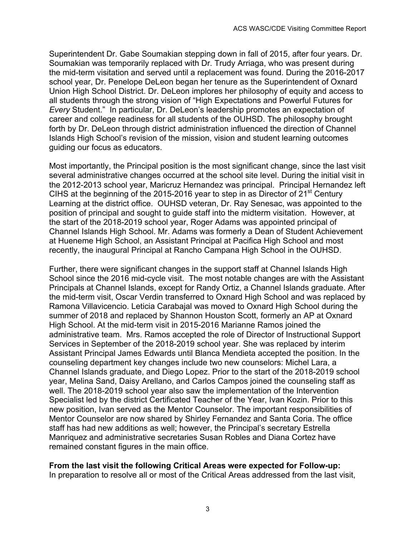Superintendent Dr. Gabe Soumakian stepping down in fall of 2015, after four years. Dr. Soumakian was temporarily replaced with Dr. Trudy Arriaga, who was present during the mid-term visitation and served until a replacement was found. During the 2016-2017 school year, Dr. Penelope DeLeon began her tenure as the Superintendent of Oxnard Union High School District. Dr. DeLeon implores her philosophy of equity and access to all students through the strong vision of "High Expectations and Powerful Futures for *Every* Student." In particular, Dr. DeLeon's leadership promotes an expectation of career and college readiness for all students of the OUHSD. The philosophy brought forth by Dr. DeLeon through district administration influenced the direction of Channel Islands High School's revision of the mission, vision and student learning outcomes guiding our focus as educators.

Most importantly, the Principal position is the most significant change, since the last visit several administrative changes occurred at the school site level. During the initial visit in the 2012-2013 school year, Maricruz Hernandez was principal. Principal Hernandez left CIHS at the beginning of the 2015-2016 year to step in as Director of  $21<sup>st</sup>$  Century Learning at the district office. OUHSD veteran, Dr. Ray Senesac, was appointed to the position of principal and sought to guide staff into the midterm visitation. However, at the start of the 2018-2019 school year, Roger Adams was appointed principal of Channel Islands High School. Mr. Adams was formerly a Dean of Student Achievement at Hueneme High School, an Assistant Principal at Pacifica High School and most recently, the inaugural Principal at Rancho Campana High School in the OUHSD.

Further, there were significant changes in the support staff at Channel Islands High School since the 2016 mid-cycle visit. The most notable changes are with the Assistant Principals at Channel Islands, except for Randy Ortiz, a Channel Islands graduate. After the mid-term visit, Oscar Verdin transferred to Oxnard High School and was replaced by Ramona Villavicencio. Leticia Carabajal was moved to Oxnard High School during the summer of 2018 and replaced by Shannon Houston Scott, formerly an AP at Oxnard High School. At the mid-term visit in 2015-2016 Marianne Ramos joined the administrative team. Mrs. Ramos accepted the role of Director of Instructional Support Services in September of the 2018-2019 school year. She was replaced by interim Assistant Principal James Edwards until Blanca Mendieta accepted the position. In the counseling department key changes include two new counselors: Michel Lara, a Channel Islands graduate, and Diego Lopez. Prior to the start of the 2018-2019 school year, Melina Sand, Daisy Arellano, and Carlos Campos joined the counseling staff as well. The 2018-2019 school year also saw the implementation of the Intervention Specialist led by the district Certificated Teacher of the Year, Ivan Kozin. Prior to this new position, Ivan served as the Mentor Counselor. The important responsibilities of Mentor Counselor are now shared by Shirley Fernandez and Santa Coria. The office staff has had new additions as well; however, the Principal's secretary Estrella Manriquez and administrative secretaries Susan Robles and Diana Cortez have remained constant figures in the main office.

#### **From the last visit the following Critical Areas were expected for Follow-up:**

In preparation to resolve all or most of the Critical Areas addressed from the last visit,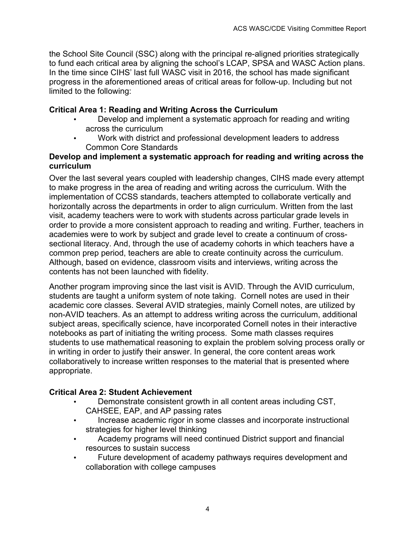the School Site Council (SSC) along with the principal re-aligned priorities strategically to fund each critical area by aligning the school's LCAP, SPSA and WASC Action plans. In the time since CIHS' last full WASC visit in 2016, the school has made significant progress in the aforementioned areas of critical areas for follow-up. Including but not limited to the following:

# **Critical Area 1: Reading and Writing Across the Curriculum**

- Develop and implement a systematic approach for reading and writing across the curriculum
- Work with district and professional development leaders to address Common Core Standards

### **Develop and implement a systematic approach for reading and writing across the curriculum**

Over the last several years coupled with leadership changes, CIHS made every attempt to make progress in the area of reading and writing across the curriculum. With the implementation of CCSS standards, teachers attempted to collaborate vertically and horizontally across the departments in order to align curriculum. Written from the last visit, academy teachers were to work with students across particular grade levels in order to provide a more consistent approach to reading and writing. Further, teachers in academies were to work by subject and grade level to create a continuum of crosssectional literacy. And, through the use of academy cohorts in which teachers have a common prep period, teachers are able to create continuity across the curriculum. Although, based on evidence, classroom visits and interviews, writing across the contents has not been launched with fidelity.

Another program improving since the last visit is AVID. Through the AVID curriculum, students are taught a uniform system of note taking. Cornell notes are used in their academic core classes. Several AVID strategies, mainly Cornell notes, are utilized by non-AVID teachers. As an attempt to address writing across the curriculum, additional subject areas, specifically science, have incorporated Cornell notes in their interactive notebooks as part of initiating the writing process. Some math classes requires students to use mathematical reasoning to explain the problem solving process orally or in writing in order to justify their answer. In general, the core content areas work collaboratively to increase written responses to the material that is presented where appropriate.

# **Critical Area 2: Student Achievement**

- Demonstrate consistent growth in all content areas including CST, CAHSEE, EAP, and AP passing rates
- Increase academic rigor in some classes and incorporate instructional strategies for higher level thinking
- Academy programs will need continued District support and financial resources to sustain success
- Future development of academy pathways requires development and collaboration with college campuses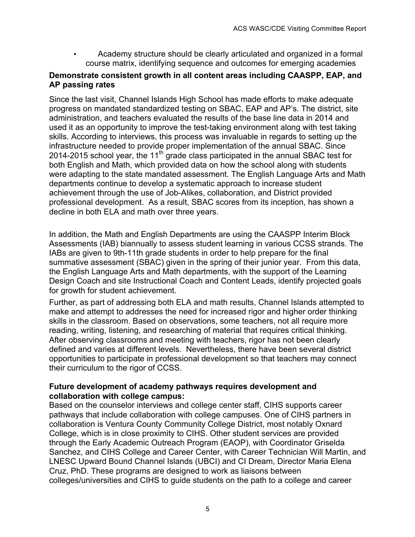• Academy structure should be clearly articulated and organized in a formal course matrix, identifying sequence and outcomes for emerging academies

# **Demonstrate consistent growth in all content areas including CAASPP, EAP, and AP passing rates**

Since the last visit, Channel Islands High School has made efforts to make adequate progress on mandated standardized testing on SBAC, EAP and AP's. The district, site administration, and teachers evaluated the results of the base line data in 2014 and used it as an opportunity to improve the test-taking environment along with test taking skills. According to interviews, this process was invaluable in regards to setting up the infrastructure needed to provide proper implementation of the annual SBAC. Since 2014-2015 school year, the 11<sup>th</sup> grade class participated in the annual SBAC test for both English and Math, which provided data on how the school along with students were adapting to the state mandated assessment. The English Language Arts and Math departments continue to develop a systematic approach to increase student achievement through the use of Job-Alikes, collaboration, and District provided professional development. As a result, SBAC scores from its inception, has shown a decline in both ELA and math over three years.

In addition, the Math and English Departments are using the CAASPP Interim Block Assessments (IAB) biannually to assess student learning in various CCSS strands. The IABs are given to 9th-11th grade students in order to help prepare for the final summative assessment (SBAC) given in the spring of their junior year. From this data, the English Language Arts and Math departments, with the support of the Learning Design Coach and site Instructional Coach and Content Leads, identify projected goals for growth for student achievement.

Further, as part of addressing both ELA and math results, Channel Islands attempted to make and attempt to addresses the need for increased rigor and higher order thinking skills in the classroom. Based on observations, some teachers, not all require more reading, writing, listening, and researching of material that requires critical thinking. After observing classrooms and meeting with teachers, rigor has not been clearly defined and varies at different levels. Nevertheless, there have been several district opportunities to participate in professional development so that teachers may connect their curriculum to the rigor of CCSS.

#### **Future development of academy pathways requires development and collaboration with college campus:**

Based on the counselor interviews and college center staff, CIHS supports career pathways that include collaboration with college campuses. One of CIHS partners in collaboration is Ventura County Community College District, most notably Oxnard College, which is in close proximity to CIHS. Other student services are provided through the Early Academic Outreach Program (EAOP), with Coordinator Griselda Sanchez, and CIHS College and Career Center, with Career Technician Will Martin, and LNESC Upward Bound Channel Islands (UBCI) and CI Dream, Director Maria Elena Cruz, PhD. These programs are designed to work as liaisons between colleges/universities and CIHS to guide students on the path to a college and career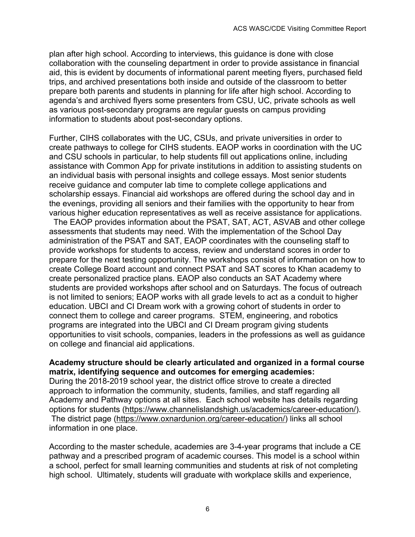plan after high school. According to interviews, this guidance is done with close collaboration with the counseling department in order to provide assistance in financial aid, this is evident by documents of informational parent meeting flyers, purchased field trips, and archived presentations both inside and outside of the classroom to better prepare both parents and students in planning for life after high school. According to agenda's and archived flyers some presenters from CSU, UC, private schools as well as various post-secondary programs are regular guests on campus providing information to students about post-secondary options.

Further, CIHS collaborates with the UC, CSUs, and private universities in order to create pathways to college for CIHS students. EAOP works in coordination with the UC and CSU schools in particular, to help students fill out applications online, including assistance with Common App for private institutions in addition to assisting students on an individual basis with personal insights and college essays. Most senior students receive guidance and computer lab time to complete college applications and scholarship essays. Financial aid workshops are offered during the school day and in the evenings, providing all seniors and their families with the opportunity to hear from various higher education representatives as well as receive assistance for applications.

 The EAOP provides information about the PSAT, SAT, ACT, ASVAB and other college assessments that students may need. With the implementation of the School Day administration of the PSAT and SAT, EAOP coordinates with the counseling staff to provide workshops for students to access, review and understand scores in order to prepare for the next testing opportunity. The workshops consist of information on how to create College Board account and connect PSAT and SAT scores to Khan academy to create personalized practice plans. EAOP also conducts an SAT Academy where students are provided workshops after school and on Saturdays. The focus of outreach is not limited to seniors; EAOP works with all grade levels to act as a conduit to higher education. UBCI and CI Dream work with a growing cohort of students in order to connect them to college and career programs. STEM, engineering, and robotics programs are integrated into the UBCI and CI Dream program giving students opportunities to visit schools, companies, leaders in the professions as well as guidance on college and financial aid applications.

#### **Academy structure should be clearly articulated and organized in a formal course matrix, identifying sequence and outcomes for emerging academies:**

During the 2018-2019 school year, the district office strove to create a directed approach to information the community, students, families, and staff regarding all Academy and Pathway options at all sites. Each school website has details regarding options for students (https://www.channelislandshigh.us/academics/career-education/). The district page (https://www.oxnardunion.org/career-education/) links all school information in one place.

According to the master schedule, academies are 3-4-year programs that include a CE pathway and a prescribed program of academic courses. This model is a school within a school, perfect for small learning communities and students at risk of not completing high school. Ultimately, students will graduate with workplace skills and experience,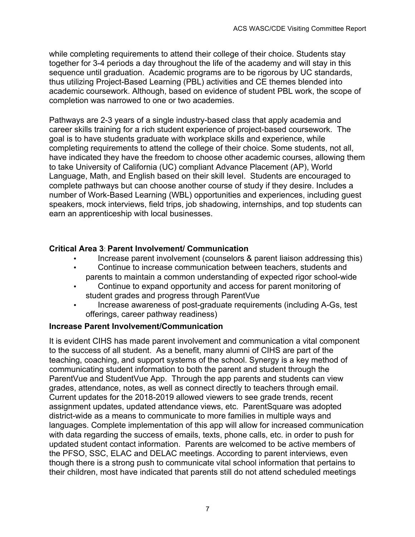while completing requirements to attend their college of their choice. Students stay together for 3-4 periods a day throughout the life of the academy and will stay in this sequence until graduation. Academic programs are to be rigorous by UC standards, thus utilizing Project-Based Learning (PBL) activities and CE themes blended into academic coursework. Although, based on evidence of student PBL work, the scope of completion was narrowed to one or two academies.

Pathways are 2-3 years of a single industry-based class that apply academia and career skills training for a rich student experience of project-based coursework. The goal is to have students graduate with workplace skills and experience, while completing requirements to attend the college of their choice. Some students, not all, have indicated they have the freedom to choose other academic courses, allowing them to take University of California (UC) compliant Advance Placement (AP), World Language, Math, and English based on their skill level. Students are encouraged to complete pathways but can choose another course of study if they desire. Includes a number of Work-Based Learning (WBL) opportunities and experiences, including guest speakers, mock interviews, field trips, job shadowing, internships, and top students can earn an apprenticeship with local businesses.

# **Critical Area 3**: **Parent Involvement/ Communication**

- Increase parent involvement (counselors & parent liaison addressing this)
- Continue to increase communication between teachers, students and parents to maintain a common understanding of expected rigor school-wide
- Continue to expand opportunity and access for parent monitoring of student grades and progress through ParentVue
- Increase awareness of post-graduate requirements (including A-Gs, test offerings, career pathway readiness)

#### **Increase Parent Involvement/Communication**

It is evident CIHS has made parent involvement and communication a vital component to the success of all student. As a benefit, many alumni of CIHS are part of the teaching, coaching, and support systems of the school. Synergy is a key method of communicating student information to both the parent and student through the ParentVue and StudentVue App. Through the app parents and students can view grades, attendance, notes, as well as connect directly to teachers through email. Current updates for the 2018-2019 allowed viewers to see grade trends, recent assignment updates, updated attendance views, etc. ParentSquare was adopted district-wide as a means to communicate to more families in multiple ways and languages. Complete implementation of this app will allow for increased communication with data regarding the success of emails, texts, phone calls, etc. in order to push for updated student contact information. Parents are welcomed to be active members of the PFSO, SSC, ELAC and DELAC meetings. According to parent interviews, even though there is a strong push to communicate vital school information that pertains to their children, most have indicated that parents still do not attend scheduled meetings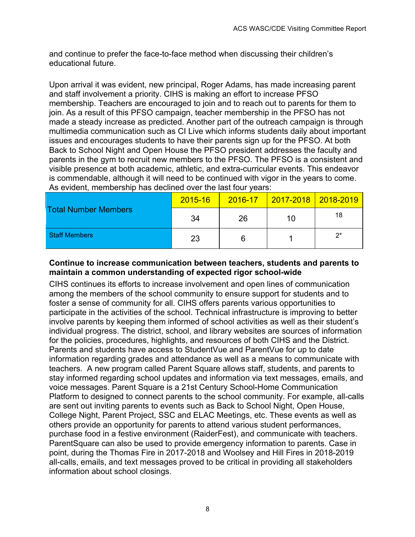and continue to prefer the face-to-face method when discussing their children's educational future.

Upon arrival it was evident, new principal, Roger Adams, has made increasing parent and staff involvement a priority. CIHS is making an effort to increase PFSO membership. Teachers are encouraged to join and to reach out to parents for them to join. As a result of this PFSO campaign, teacher membership in the PFSO has not made a steady increase as predicted. Another part of the outreach campaign is through multimedia communication such as CI Live which informs students daily about important issues and encourages students to have their parents sign up for the PFSO. At both Back to School Night and Open House the PFSO president addresses the faculty and parents in the gym to recruit new members to the PFSO. The PFSO is a consistent and visible presence at both academic, athletic, and extra-curricular events. This endeavor is commendable, although it will need to be continued with vigor in the years to come. As evident, membership has declined over the last four years:

|                             | 2015-16 | $2016 - 17$ | <u>  2017-2018   2018-2019</u> |    |
|-----------------------------|---------|-------------|--------------------------------|----|
| <b>Total Number Members</b> | 34      | 26          | 10                             | 18 |
| <b>Staff Members</b>        | 23      | 6           |                                | ク* |

### **Continue to increase communication between teachers, students and parents to maintain a common understanding of expected rigor school-wide**

CIHS continues its efforts to increase involvement and open lines of communication among the members of the school community to ensure support for students and to foster a sense of community for all. CIHS offers parents various opportunities to participate in the activities of the school. Technical infrastructure is improving to better involve parents by keeping them informed of school activities as well as their student's individual progress. The district, school, and library websites are sources of information for the policies, procedures, highlights, and resources of both CIHS and the District. Parents and students have access to StudentVue and ParentVue for up to date information regarding grades and attendance as well as a means to communicate with teachers. A new program called Parent Square allows staff, students, and parents to stay informed regarding school updates and information via text messages, emails, and voice messages. Parent Square is a 21st Century School-Home Communication Platform to designed to connect parents to the school community. For example, all-calls are sent out inviting parents to events such as Back to School Night, Open House, College Night, Parent Project, SSC and ELAC Meetings, etc. These events as well as others provide an opportunity for parents to attend various student performances, purchase food in a festive environment (RaiderFest), and communicate with teachers. ParentSquare can also be used to provide emergency information to parents. Case in point, during the Thomas Fire in 2017-2018 and Woolsey and Hill Fires in 2018-2019 all-calls, emails, and text messages proved to be critical in providing all stakeholders information about school closings.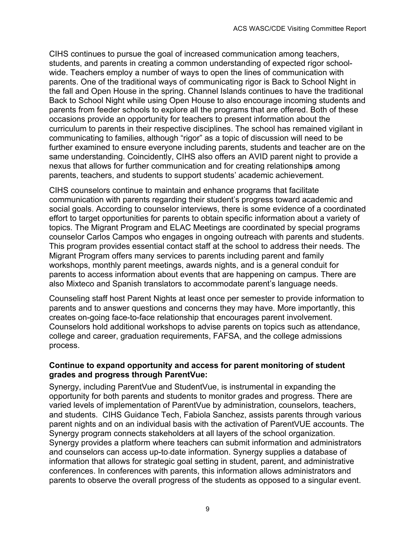CIHS continues to pursue the goal of increased communication among teachers, students, and parents in creating a common understanding of expected rigor schoolwide. Teachers employ a number of ways to open the lines of communication with parents. One of the traditional ways of communicating rigor is Back to School Night in the fall and Open House in the spring. Channel Islands continues to have the traditional Back to School Night while using Open House to also encourage incoming students and parents from feeder schools to explore all the programs that are offered. Both of these occasions provide an opportunity for teachers to present information about the curriculum to parents in their respective disciplines. The school has remained vigilant in communicating to families, although "rigor" as a topic of discussion will need to be further examined to ensure everyone including parents, students and teacher are on the same understanding. Coincidently, CIHS also offers an AVID parent night to provide a nexus that allows for further communication and for creating relationship**s** among parents, teachers, and students to support students' academic achievement.

CIHS counselors continue to maintain and enhance programs that facilitate communication with parents regarding their student's progress toward academic and social goals. According to counselor interviews, there is some evidence of a coordinated effort to target opportunities for parents to obtain specific information about a variety of topics. The Migrant Program and ELAC Meetings are coordinated by special programs counselor Carlos Campos who engages in ongoing outreach with parents and students. This program provides essential contact staff at the school to address their needs. The Migrant Program offers many services to parents including parent and family workshops, monthly parent meetings, awards nights, and is a general conduit for parents to access information about events that are happening on campus. There are also Mixteco and Spanish translators to accommodate parent's language needs.

Counseling staff host Parent Nights at least once per semester to provide information to parents and to answer questions and concerns they may have. More importantly, this creates on-going face-to-face relationship that encourages parent involvement. Counselors hold additional workshops to advise parents on topics such as attendance, college and career, graduation requirements, FAFSA, and the college admissions process.

#### **Continue to expand opportunity and access for parent monitoring of student grades and progress through ParentVue:**

Synergy, including ParentVue and StudentVue, is instrumental in expanding the opportunity for both parents and students to monitor grades and progress. There are varied levels of implementation of ParentVue by administration, counselors, teachers, and students. CIHS Guidance Tech, Fabiola Sanchez, assists parents through various parent nights and on an individual basis with the activation of ParentVUE accounts. The Synergy program connects stakeholders at all layers of the school organization. Synergy provides a platform where teachers can submit information and administrators and counselors can access up-to date information. Synergy supplies a database of information that allows for strategic goal setting in student, parent, and administrative conferences. In conferences with parents, this information allows administrators and parents to observe the overall progress of the students as opposed to a singular event.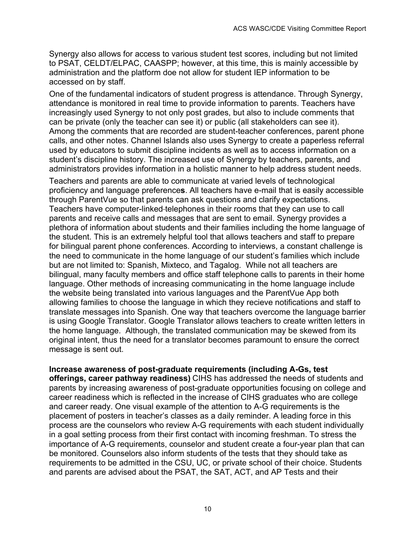Synergy also allows for access to various student test scores, including but not limited to PSAT, CELDT/ELPAC, CAASPP; however, at this time, this is mainly accessible by administration and the platform doe not allow for student IEP information to be accessed on by staff.

One of the fundamental indicators of student progress is attendance. Through Synergy, attendance is monitored in real time to provide information to parents. Teachers have increasingly used Synergy to not only post grades, but also to include comments that can be private (only the teacher can see it) or public (all stakeholders can see it). Among the comments that are recorded are student-teacher conferences, parent phone calls, and other notes. Channel Islands also uses Synergy to create a paperless referral used by educators to submit discipline incidents as well as to access information on a student's discipline history. The increased use of Synergy by teachers, parents, and administrators provides information in a holistic manner to help address student needs.

Teachers and parents are able to communicate at varied levels of technological proficiency and language preference**s**. All teachers have e-mail that is easily accessible through ParentVue so that parents can ask questions and clarify expectations. Teachers have computer-linked telephones in their rooms that they can use to call parents and receive calls and messages that are sent to email. Synergy provides a plethora of information about students and their families including the home language of the student. This is an extremely helpful tool that allows teachers and staff to prepare for bilingual parent phone conferences. According to interviews, a constant challenge is the need to communicate in the home language of our student's families which include but are not limited to: Spanish, Mixteco, and Tagalog. While not all teachers are bilingual, many faculty members and office staff telephone calls to parents in their home language. Other methods of increasing communicating in the home language include the website being translated into various languages and the ParentVue App both allowing families to choose the language in which they recieve notifications and staff to translate messages into Spanish. One way that teachers overcome the language barrier is using Google Translator. Google Translator allows teachers to create written letters in the home language. Although, the translated communication may be skewed from its original intent, thus the need for a translator becomes paramount to ensure the correct message is sent out.

**Increase awareness of post-graduate requirements (including A-Gs, test offerings, career pathway readiness)** CIHS has addressed the needs of students and parents by increasing awareness of post-graduate opportunities focusing on college and career readiness which is reflected in the increase of CIHS graduates who are college and career ready. One visual example of the attention to A-G requirements is the placement of posters in teacher's classes as a daily reminder. A leading force in this process are the counselors who review A-G requirements with each student individually in a goal setting process from their first contact with incoming freshman. To stress the importance of A-G requirements, counselor and student create a four-year plan that can be monitored. Counselors also inform students of the tests that they should take as requirements to be admitted in the CSU, UC, or private school of their choice. Students and parents are advised about the PSAT, the SAT, ACT, and AP Tests and their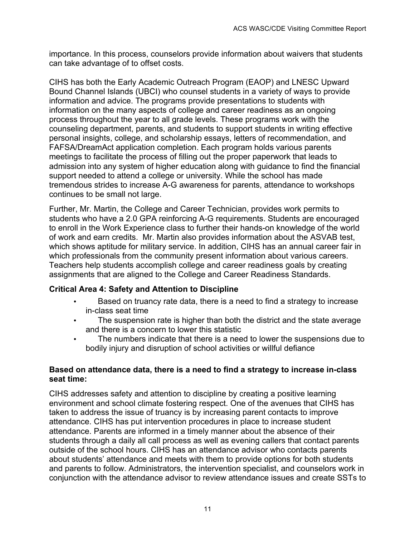importance. In this process, counselors provide information about waivers that students can take advantage of to offset costs.

CIHS has both the Early Academic Outreach Program (EAOP) and LNESC Upward Bound Channel Islands (UBCI) who counsel students in a variety of ways to provide information and advice. The programs provide presentations to students with information on the many aspects of college and career readiness as an ongoing process throughout the year to all grade levels. These programs work with the counseling department, parents, and students to support students in writing effective personal insights, college, and scholarship essays, letters of recommendation, and FAFSA/DreamAct application completion. Each program holds various parents meetings to facilitate the process of filling out the proper paperwork that leads to admission into any system of higher education along with guidance to find the financial support needed to attend a college or university. While the school has made tremendous strides to increase A-G awareness for parents, attendance to workshops continues to be small not large.

Further, Mr. Martin, the College and Career Technician, provides work permits to students who have a 2.0 GPA reinforcing A-G requirements. Students are encouraged to enroll in the Work Experience class to further their hands-on knowledge of the world of work and earn credits. Mr. Martin also provides information about the ASVAB test, which shows aptitude for military service. In addition, CIHS has an annual career fair in which professionals from the community present information about various careers. Teachers help students accomplish college and career readiness goals by creating assignments that are aligned to the College and Career Readiness Standards.

#### **Critical Area 4: Safety and Attention to Discipline**

- Based on truancy rate data, there is a need to find a strategy to increase in-class seat time
- The suspension rate is higher than both the district and the state average and there is a concern to lower this statistic
- The numbers indicate that there is a need to lower the suspensions due to bodily injury and disruption of school activities or willful defiance

#### **Based on attendance data, there is a need to find a strategy to increase in-class seat time:**

CIHS addresses safety and attention to discipline by creating a positive learning environment and school climate fostering respect. One of the avenues that CIHS has taken to address the issue of truancy is by increasing parent contacts to improve attendance. CIHS has put intervention procedures in place to increase student attendance. Parents are informed in a timely manner about the absence of their students through a daily all call process as well as evening callers that contact parents outside of the school hours. CIHS has an attendance advisor who contacts parents about students' attendance and meets with them to provide options for both students and parents to follow. Administrators, the intervention specialist, and counselors work in conjunction with the attendance advisor to review attendance issues and create SSTs to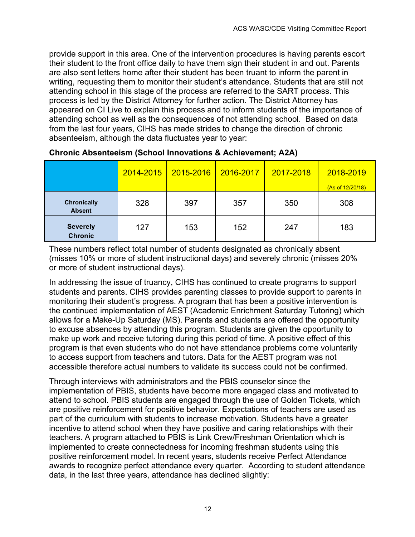provide support in this area. One of the intervention procedures is having parents escort their student to the front office daily to have them sign their student in and out. Parents are also sent letters home after their student has been truant to inform the parent in writing, requesting them to monitor their student's attendance. Students that are still not attending school in this stage of the process are referred to the SART process. This process is led by the District Attorney for further action. The District Attorney has appeared on CI Live to explain this process and to inform students of the importance of attending school as well as the consequences of not attending school. Based on data from the last four years, CIHS has made strides to change the direction of chronic absenteeism, although the data fluctuates year to year:

|                                     | 2014-2015 | 2015-2016 | 2016-2017 | 2017-2018 | 2018-2019<br>(As of 12/20/18) |
|-------------------------------------|-----------|-----------|-----------|-----------|-------------------------------|
| <b>Chronically</b><br><b>Absent</b> | 328       | 397       | 357       | 350       | 308                           |
| <b>Severely</b><br><b>Chronic</b>   | 127       | 153       | 152       | 247       | 183                           |

### **Chronic Absenteeism (School Innovations & Achievement; A2A)**

These numbers reflect total number of students designated as chronically absent (misses 10% or more of student instructional days) and severely chronic (misses 20% or more of student instructional days).

In addressing the issue of truancy, CIHS has continued to create programs to support students and parents. CIHS provides parenting classes to provide support to parents in monitoring their student's progress. A program that has been a positive intervention is the continued implementation of AEST (Academic Enrichment Saturday Tutoring) which allows for a Make-Up Saturday (MS). Parents and students are offered the opportunity to excuse absences by attending this program. Students are given the opportunity to make up work and receive tutoring during this period of time. A positive effect of this program is that even students who do not have attendance problems come voluntarily to access support from teachers and tutors. Data for the AEST program was not accessible therefore actual numbers to validate its success could not be confirmed.

Through interviews with administrators and the PBIS counselor since the implementation of PBIS, students have become more engaged class and motivated to attend to school. PBIS students are engaged through the use of Golden Tickets, which are positive reinforcement for positive behavior. Expectations of teachers are used as part of the curriculum with students to increase motivation. Students have a greater incentive to attend school when they have positive and caring relationships with their teachers. A program attached to PBIS is Link Crew/Freshman Orientation which is implemented to create connectedness for incoming freshman students using this positive reinforcement model. In recent years, students receive Perfect Attendance awards to recognize perfect attendance every quarter. According to student attendance data, in the last three years, attendance has declined slightly: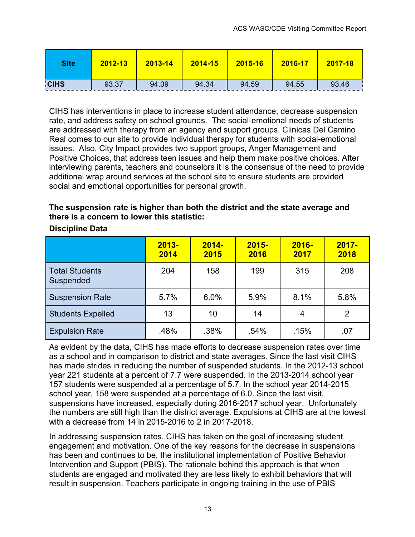| <b>Site</b> | 2012-13 | 2013-14 | 2014-15 | 2015-16 | 2016-17 | $2017 - 18$ |
|-------------|---------|---------|---------|---------|---------|-------------|
| <b>CIHS</b> | 93.37   | 94.09   | 94.34   | 94.59   | 94.55   | 93.46       |

CIHS has interventions in place to increase student attendance, decrease suspension rate, and address safety on school grounds. The social-emotional needs of students are addressed with therapy from an agency and support groups. Clinicas Del Camino Real comes to our site to provide individual therapy for students with social-emotional issues. Also, City Impact provides two support groups, Anger Management and Positive Choices, that address teen issues and help them make positive choices. After interviewing parents, teachers and counselors it is the consensus of the need to provide additional wrap around services at the school site to ensure students are provided social and emotional opportunities for personal growth.

# **The suspension rate is higher than both the district and the state average and there is a concern to lower this statistic:**

|                                    | $2013 -$<br>2014 | $2014 -$<br>2015 | $2015 -$<br>2016 | $2016 -$<br>2017 | $2017 -$<br>2018 |
|------------------------------------|------------------|------------------|------------------|------------------|------------------|
| <b>Total Students</b><br>Suspended | 204              | 158              | 199              | 315              | 208              |
| <b>Suspension Rate</b>             | 5.7%             | 6.0%             | 5.9%             | 8.1%             | 5.8%             |
| <b>Students Expelled</b>           | 13               | 10               | 14               | 4                | 2                |
| <b>Expulsion Rate</b>              | .48%             | .38%             | .54%             | .15%             | .07              |

# **Discipline Data**

As evident by the data, CIHS has made efforts to decrease suspension rates over time as a school and in comparison to district and state averages. Since the last visit CIHS has made strides in reducing the number of suspended students. In the 2012-13 school year 221 students at a percent of 7.7 were suspended. In the 2013-2014 school year 157 students were suspended at a percentage of 5.7. In the school year 2014-2015 school year, 158 were suspended at a percentage of 6.0. Since the last visit, suspensions have increased, especially during 2016-2017 school year. Unfortunately the numbers are still high than the district average. Expulsions at CIHS are at the lowest with a decrease from 14 in 2015-2016 to 2 in 2017-2018.

In addressing suspension rates, CIHS has taken on the goal of increasing student engagement and motivation. One of the key reasons for the decrease in suspensions has been and continues to be, the institutional implementation of Positive Behavior Intervention and Support (PBIS). The rationale behind this approach is that when students are engaged and motivated they are less likely to exhibit behaviors that will result in suspension. Teachers participate in ongoing training in the use of PBIS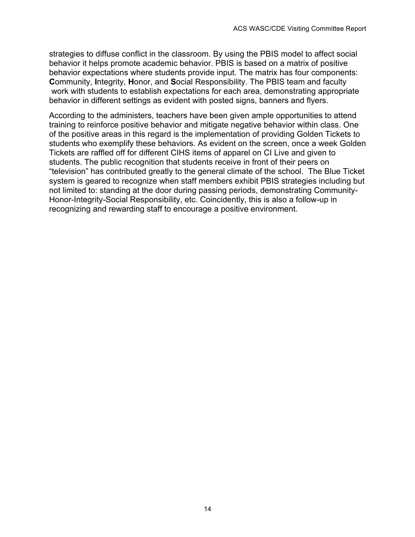strategies to diffuse conflict in the classroom. By using the PBIS model to affect social behavior it helps promote academic behavior. PBIS is based on a matrix of positive behavior expectations where students provide input. The matrix has four components: **C**ommunity, **I**ntegrity, **H**onor, and **S**ocial Responsibility. The PBIS team and faculty work with students to establish expectations for each area, demonstrating appropriate behavior in different settings as evident with posted signs, banners and flyers.

According to the administers, teachers have been given ample opportunities to attend training to reinforce positive behavior and mitigate negative behavior within class. One of the positive areas in this regard is the implementation of providing Golden Tickets to students who exemplify these behaviors. As evident on the screen, once a week Golden Tickets are raffled off for different CIHS items of apparel on CI Live and given to students. The public recognition that students receive in front of their peers on "television" has contributed greatly to the general climate of the school. The Blue Ticket system is geared to recognize when staff members exhibit PBIS strategies including but not limited to: standing at the door during passing periods, demonstrating Community-Honor-Integrity-Social Responsibility, etc. Coincidently, this is also a follow-up in recognizing and rewarding staff to encourage a positive environment.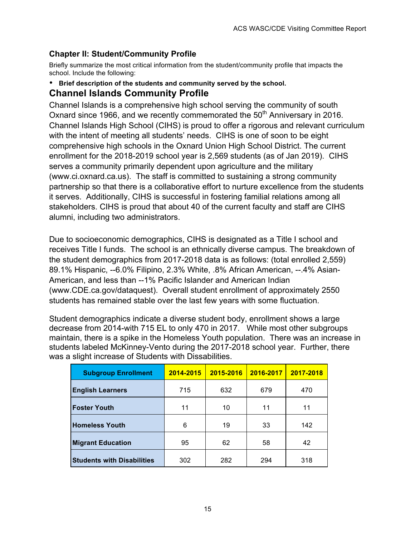# **Chapter II: Student/Community Profile**

Briefly summarize the most critical information from the student/community profile that impacts the school. Include the following:

• **Brief description of the students and community served by the school.**

# **Channel Islands Community Profile**

Channel Islands is a comprehensive high school serving the community of south Oxnard since 1966, and we recently commemorated the  $50<sup>th</sup>$  Anniversary in 2016. Channel Islands High School (CIHS) is proud to offer a rigorous and relevant curriculum with the intent of meeting all students' needs. CIHS is one of soon to be eight comprehensive high schools in the Oxnard Union High School District. The current enrollment for the 2018-2019 school year is 2,569 students (as of Jan 2019). CIHS serves a community primarily dependent upon agriculture and the military (www.ci.oxnard.ca.us). The staff is committed to sustaining a strong community partnership so that there is a collaborative effort to nurture excellence from the students it serves. Additionally, CIHS is successful in fostering familial relations among all stakeholders. CIHS is proud that about 40 of the current faculty and staff are CIHS alumni, including two administrators.

Due to socioeconomic demographics, CIHS is designated as a Title I school and receives Title I funds. The school is an ethnically diverse campus. The breakdown of the student demographics from 2017-2018 data is as follows: (total enrolled 2,559) 89.1% Hispanic, --6.0% Filipino, 2.3% White, .8% African American, --.4% Asian-American, and less than --1% Pacific Islander and American Indian (www.CDE.ca.gov/dataquest). Overall student enrollment of approximately 2550 students has remained stable over the last few years with some fluctuation.

Student demographics indicate a diverse student body, enrollment shows a large decrease from 2014-with 715 EL to only 470 in 2017. While most other subgroups maintain, there is a spike in the Homeless Youth population. There was an increase in students labeled McKinney-Vento during the 2017-2018 school year. Further, there was a slight increase of Students with Dissabilities.

| <b>Subgroup Enrollment</b>        | 2014-2015 | 2015-2016 | 2016-2017 | 2017-2018 |
|-----------------------------------|-----------|-----------|-----------|-----------|
| <b>English Learners</b>           | 715       | 632       | 679       | 470       |
| <b>Foster Youth</b>               | 11        | 10        | 11        | 11        |
| <b>Homeless Youth</b>             | 6         | 19        | 33        | 142       |
| <b>Migrant Education</b>          | 95        | 62        | 58        | 42        |
| <b>Students with Disabilities</b> | 302       | 282       | 294       | 318       |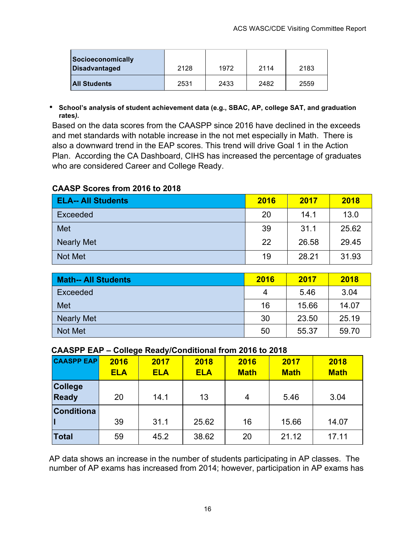| Socioeconomically<br><b>Disadvantaged</b> | 2128 | 1972 | 2114 | 2183 |
|-------------------------------------------|------|------|------|------|
| <b>All Students</b>                       | 2531 | 2433 | 2482 | 2559 |

• **School's analysis of student achievement data (e.g., SBAC, AP, college SAT, and graduation rates***).*

Based on the data scores from the CAASPP since 2016 have declined in the exceeds and met standards with notable increase in the not met especially in Math. There is also a downward trend in the EAP scores. This trend will drive Goal 1 in the Action Plan. According the CA Dashboard, CIHS has increased the percentage of graduates who are considered Career and College Ready.

# **CAASP Scores from 2016 to 2018**

| <b>ELA-- All Students</b> | 2016 | 2017  | 2018  |
|---------------------------|------|-------|-------|
| Exceeded                  | 20   | 14.1  | 13.0  |
| Met                       | 39   | 31.1  | 25.62 |
| <b>Nearly Met</b>         | 22   | 26.58 | 29.45 |
| Not Met                   | 19   | 28.21 | 31.93 |

| <b>Math-- All Students</b> | 2016 | 2017  | 2018  |
|----------------------------|------|-------|-------|
| <b>Exceeded</b>            | 4    | 5.46  | 3.04  |
| <b>Met</b>                 | 16   | 15.66 | 14.07 |
| Nearly Met                 | 30   | 23.50 | 25.19 |
| Not Met                    | 50   | 55.37 | 59.70 |

#### **CAASPP EAP – College Ready/Conditional from 2016 to 2018**

| <b>CAASPP EAP</b> | 2016<br><b>ELA</b> | 2017<br><b>ELA</b> | 2018<br><b>ELA</b> | 2016<br><b>Math</b> | 2017<br><b>Math</b> | 2018<br><b>Math</b> |
|-------------------|--------------------|--------------------|--------------------|---------------------|---------------------|---------------------|
| <b>College</b>    |                    |                    |                    |                     |                     |                     |
| <b>Ready</b>      | 20                 | 14.1               | 13                 | 4                   | 5.46                | 3.04                |
| <b>Conditiona</b> |                    |                    |                    |                     |                     |                     |
|                   | 39                 | 31.1               | 25.62              | 16                  | 15.66               | 14.07               |
| <b>Total</b>      | 59                 | 45.2               | 38.62              | 20                  | 21.12               | 17.11               |

AP data shows an increase in the number of students participating in AP classes. The number of AP exams has increased from 2014; however, participation in AP exams has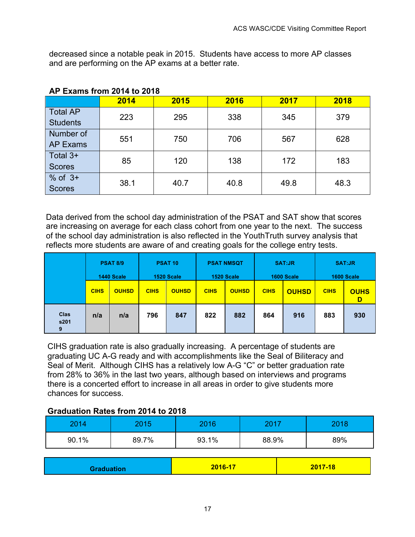decreased since a notable peak in 2015. Students have access to more AP classes and are performing on the AP exams at a better rate.

|                                    | 2014 | 2015 | 2016 | 2017 | 2018 |
|------------------------------------|------|------|------|------|------|
| <b>Total AP</b><br><b>Students</b> | 223  | 295  | 338  | 345  | 379  |
| Number of<br><b>AP Exams</b>       | 551  | 750  | 706  | 567  | 628  |
| Total 3+<br><b>Scores</b>          | 85   | 120  | 138  | 172  | 183  |
| $%$ of $3+$<br><b>Scores</b>       | 38.1 | 40.7 | 40.8 | 49.8 | 48.3 |

### **AP Exams from 2014 to 2018**

Data derived from the school day administration of the PSAT and SAT show that scores are increasing on average for each class cohort from one year to the next. The success of the school day administration is also reflected in the YouthTruth survey analysis that reflects more students are aware of and creating goals for the college entry tests.

|                   |             | <b>PSAT 8/9</b><br>1440 Scale |             | <b>PSAT 10</b><br>1520 Scale |             | <b>PSAT NMSQT</b><br>1520 Scale |             | <b>SAT:JR</b><br>1600 Scale |             | <b>SAT:JR</b><br>1600 Scale |
|-------------------|-------------|-------------------------------|-------------|------------------------------|-------------|---------------------------------|-------------|-----------------------------|-------------|-----------------------------|
|                   | <b>CIHS</b> | <b>OUHSD</b>                  | <b>CIHS</b> | <b>OUHSD</b>                 | <b>CIHS</b> | <b>OUHSD</b>                    | <b>CIHS</b> | <b>OUHSD</b>                | <b>CIHS</b> | <b>OUHS</b><br>D            |
| Clas<br>s201<br>9 | n/a         | n/a                           | 796         | 847                          | 822         | 882                             | 864         | 916                         | 883         | 930                         |

CIHS graduation rate is also gradually increasing. A percentage of students are graduating UC A-G ready and with accomplishments like the Seal of Biliteracy and Seal of Merit. Although CIHS has a relatively low A-G "C" or better graduation rate from 28% to 36% in the last two years, although based on interviews and programs there is a concerted effort to increase in all areas in order to give students more chances for success.

#### **Graduation Rates from 2014 to 2018**

| 2014  | 2015  | 2016  | 2017  | 2018 |
|-------|-------|-------|-------|------|
| 90.1% | 89.7% | 93.1% | 88.9% | 89%  |

| 2016-17<br>2017-18<br><b>Graduation</b> |  |
|-----------------------------------------|--|
|-----------------------------------------|--|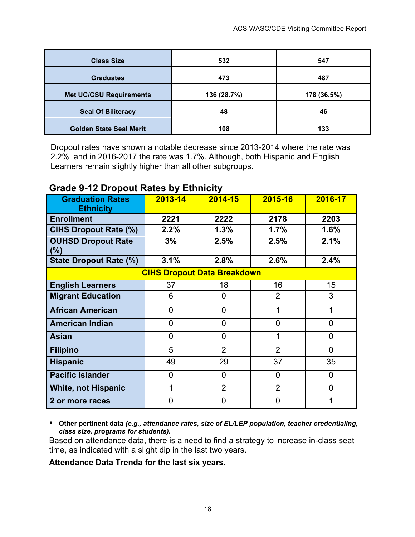| <b>Class Size</b>              | 532         | 547         |
|--------------------------------|-------------|-------------|
| <b>Graduates</b>               | 473         | 487         |
| <b>Met UC/CSU Requirements</b> | 136 (28.7%) | 178 (36.5%) |
| <b>Seal Of Biliteracy</b>      | 48          | 46          |
| <b>Golden State Seal Merit</b> | 108         | 133         |

Dropout rates have shown a notable decrease since 2013-2014 where the rate was 2.2% and in 2016-2017 the rate was 1.7%. Although, both Hispanic and English Learners remain slightly higher than all other subgroups.

# **Grade 9-12 Dropout Rates by Ethnicity**

| <b>Graduation Rates</b><br><b>Ethnicity</b> | $2013 - 14$    | 2014-15        | 2015-16        | 2016-17        |  |  |  |  |  |
|---------------------------------------------|----------------|----------------|----------------|----------------|--|--|--|--|--|
| <b>Enrollment</b>                           | 2221           | 2222           | 2178           | 2203           |  |  |  |  |  |
| <b>CIHS Dropout Rate (%)</b>                | 2.2%           | 1.3%           | 1.7%           | 1.6%           |  |  |  |  |  |
| <b>OUHSD Dropout Rate</b><br>$(\%)$         | 3%             | 2.5%           | 2.5%           | 2.1%           |  |  |  |  |  |
| <b>State Dropout Rate (%)</b>               | 3.1%           | 2.8%           | 2.6%           | 2.4%           |  |  |  |  |  |
| <b>CIHS Dropout Data Breakdown</b>          |                |                |                |                |  |  |  |  |  |
| <b>English Learners</b>                     | 37             | 18             | 16             | 15             |  |  |  |  |  |
| <b>Migrant Education</b>                    | 6              | $\overline{0}$ | $\overline{2}$ | 3              |  |  |  |  |  |
| <b>African American</b>                     | $\overline{0}$ | 0              | 1              | 1              |  |  |  |  |  |
| <b>American Indian</b>                      | $\overline{0}$ | 0              | $\overline{0}$ | $\overline{0}$ |  |  |  |  |  |
| <b>Asian</b>                                | $\overline{0}$ | 0              | 1              | $\overline{0}$ |  |  |  |  |  |
| <b>Filipino</b>                             | 5              | $\overline{2}$ | $\overline{2}$ | $\overline{0}$ |  |  |  |  |  |
| <b>Hispanic</b>                             | 49             | 29             | 37             | 35             |  |  |  |  |  |
| <b>Pacific Islander</b>                     | $\overline{0}$ | $\overline{0}$ | $\overline{0}$ | $\overline{0}$ |  |  |  |  |  |
| <b>White, not Hispanic</b>                  |                | $\overline{2}$ | $\overline{2}$ | $\overline{0}$ |  |  |  |  |  |
| 2 or more races                             | $\overline{0}$ | 0              | $\overline{0}$ | 1              |  |  |  |  |  |

• **Other pertinent data** *(e.g., attendance rates, size of EL/LEP population, teacher credentialing, class size, programs for students).*

Based on attendance data, there is a need to find a strategy to increase in-class seat time, as indicated with a slight dip in the last two years.

#### **Attendance Data Trenda for the last six years.**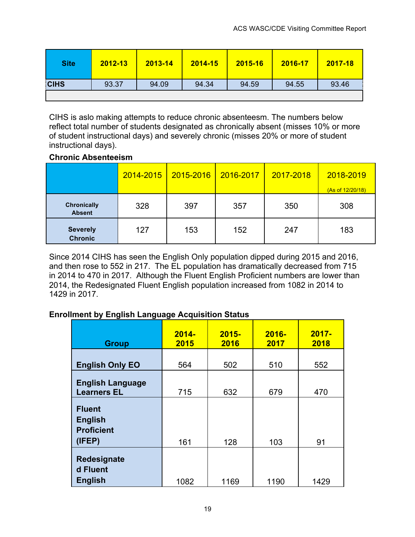| <b>Site</b> | 2012-13 | 2013-14 | $2014 - 15$ | 2015-16 | 2016-17 | 2017-18 |
|-------------|---------|---------|-------------|---------|---------|---------|
| <b>CIHS</b> | 93.37   | 94.09   | 94.34       | 94.59   | 94.55   | 93.46   |
|             |         |         |             |         |         |         |

CIHS is aslo making attempts to reduce chronic absenteesm. The numbers below reflect total number of students designated as chronically absent (misses 10% or more of student instructional days) and severely chronic (misses 20% or more of student instructional days).

# **Chronic Absenteeism**

|                                     | 2014-2015 | 2015-2016 | 2016-2017 | 2017-2018 | 2018-2019<br>(As of 12/20/18) |
|-------------------------------------|-----------|-----------|-----------|-----------|-------------------------------|
| <b>Chronically</b><br><b>Absent</b> | 328       | 397       | 357       | 350       | 308                           |
| <b>Severely</b><br><b>Chronic</b>   | 127       | 153       | 152       | 247       | 183                           |

Since 2014 CIHS has seen the English Only population dipped during 2015 and 2016, and then rose to 552 in 217. The EL population has dramatically decreased from 715 in 2014 to 470 in 2017. Although the Fluent English Proficient numbers are lower than 2014, the Redesignated Fluent English population increased from 1082 in 2014 to 1429 in 2017.

# **Enrollment by English Language Acquisition Status**

| <b>Group</b>                                                   | $2014 -$<br>2015 | $2015 -$<br>2016 | $2016 -$<br>2017 | $2017 -$<br>2018 |
|----------------------------------------------------------------|------------------|------------------|------------------|------------------|
| <b>English Only EO</b>                                         | 564              | 502              | 510              | 552              |
| <b>English Language</b><br><b>Learners EL</b>                  | 715              | 632              | 679              | 470              |
| <b>Fluent</b><br><b>English</b><br><b>Proficient</b><br>(IFEP) | 161              | 128              | 103              | 91               |
| Redesignate<br>d Fluent<br><b>English</b>                      | 1082             | 1169             | 1190             | 1429             |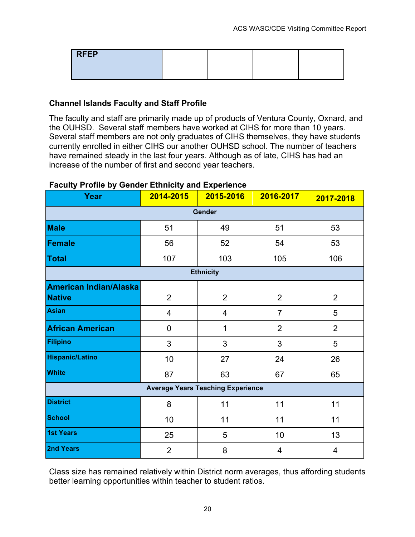| <b>RFEP</b> |  |  |
|-------------|--|--|
|             |  |  |

# **Channel Islands Faculty and Staff Profile**

The faculty and staff are primarily made up of products of Ventura County, Oxnard, and the OUHSD. Several staff members have worked at CIHS for more than 10 years. Several staff members are not only graduates of CIHS themselves, they have students currently enrolled in either CIHS our another OUHSD school. The number of teachers have remained steady in the last four years. Although as of late, CIHS has had an increase of the number of first and second year teachers.

| reducy rionic by School Edinnoity and Experience<br>Year | 2014-2015      | $\overline{2015}$ -2016                  | 2016-2017      | 2017-2018      |  |  |  |  |  |
|----------------------------------------------------------|----------------|------------------------------------------|----------------|----------------|--|--|--|--|--|
| Gender                                                   |                |                                          |                |                |  |  |  |  |  |
| <b>Male</b>                                              | 51             | 49                                       | 51             | 53             |  |  |  |  |  |
| Female                                                   | 56             | 52                                       | 54             | 53             |  |  |  |  |  |
| Total                                                    | 107            | 103                                      | 105            | 106            |  |  |  |  |  |
|                                                          |                | <b>Ethnicity</b>                         |                |                |  |  |  |  |  |
| <b>American Indian/Alaska</b>                            |                |                                          |                |                |  |  |  |  |  |
| <b>Native</b>                                            | $\overline{2}$ | $\overline{2}$                           | $\overline{2}$ | $\overline{2}$ |  |  |  |  |  |
| Asian                                                    | $\overline{4}$ | 4                                        | $\overline{7}$ | 5              |  |  |  |  |  |
| <b>African American</b>                                  | $\mathbf 0$    | 1                                        | $\overline{2}$ | $\overline{2}$ |  |  |  |  |  |
| Filipino                                                 | 3              | 3                                        | 3              | 5              |  |  |  |  |  |
| <b>Hispanic/Latino</b>                                   | 10             | 27<br>24                                 |                | 26             |  |  |  |  |  |
| <b>White</b>                                             | 87             | 63                                       | 67             | 65             |  |  |  |  |  |
|                                                          |                | <b>Average Years Teaching Experience</b> |                |                |  |  |  |  |  |
| <b>District</b>                                          | 8              | 11                                       | 11             | 11             |  |  |  |  |  |
| <b>School</b>                                            | 10             | 11                                       | 11             | 11             |  |  |  |  |  |
| <b>1st Years</b>                                         | 25             | 5                                        | 10             | 13             |  |  |  |  |  |
| <b>2nd Years</b>                                         | $\overline{2}$ | 8                                        | 4              | 4              |  |  |  |  |  |

# **Faculty Profile by Gender Ethnicity and Experience**

Class size has remained relatively within District norm averages, thus affording students better learning opportunities within teacher to student ratios.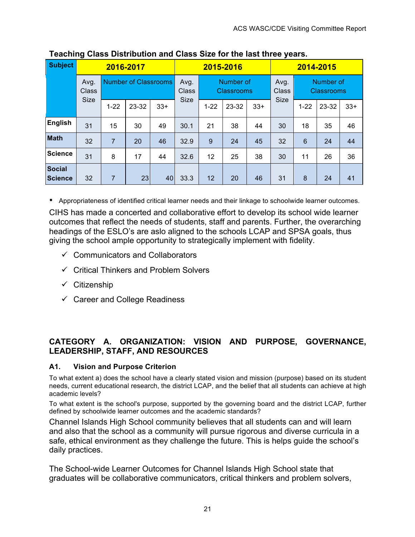| Subject                         | 2016-2017            |                             |       |               | 2015-2016   |          |                                | 2014-2015 |               |                 |                                |       |
|---------------------------------|----------------------|-----------------------------|-------|---------------|-------------|----------|--------------------------------|-----------|---------------|-----------------|--------------------------------|-------|
|                                 | Avg.<br><b>Class</b> | <b>Number of Classrooms</b> |       | Avg.<br>Class |             |          | Number of<br><b>Classrooms</b> |           | Avg.<br>Class |                 | Number of<br><b>Classrooms</b> |       |
|                                 | <b>Size</b>          | $1 - 22$                    | 23-32 | $33+$         | <b>Size</b> | $1 - 22$ | 23-32                          | $33+$     | <b>Size</b>   | $1 - 22$        | 23-32                          | $33+$ |
| English                         | 31                   | 15                          | 30    | 49            | 30.1        | 21       | 38                             | 44        | 30            | 18              | 35                             | 46    |
| <b>Math</b>                     | 32                   | $\overline{7}$              | 20    | 46            | 32.9        | 9        | 24                             | 45        | 32            | $6\phantom{1}6$ | 24                             | 44    |
| Science                         | 31                   | 8                           | 17    | 44            | 32.6        | 12       | 25                             | 38        | 30            | 11              | 26                             | 36    |
| <b>Social</b><br><b>Science</b> | 32                   | 7                           | 23    | 40            | 33.3        | 12       | 20                             | 46        | 31            | 8               | 24                             | 41    |

# **Teaching Class Distribution and Class Size for the last three years.**

• Appropriateness of identified critical learner needs and their linkage to schoolwide learner outcomes.

CIHS has made a concerted and collaborative effort to develop its school wide learner outcomes that reflect the needs of students, staff and parents. Further, the overarching headings of the ESLO's are aslo aligned to the schools LCAP and SPSA goals, thus giving the school ample opportunity to strategically implement with fidelity.

- $\checkmark$  Communicators and Collaborators
- $\checkmark$  Critical Thinkers and Problem Solvers
- $\checkmark$  Citizenship
- $\checkmark$  Career and College Readiness

# **CATEGORY A. ORGANIZATION: VISION AND PURPOSE, GOVERNANCE, LEADERSHIP, STAFF, AND RESOURCES**

#### **A1. Vision and Purpose Criterion**

To what extent a) does the school have a clearly stated vision and mission (purpose) based on its student needs, current educational research, the district LCAP, and the belief that all students can achieve at high academic levels?

To what extent is the school's purpose, supported by the governing board and the district LCAP, further defined by schoolwide learner outcomes and the academic standards?

Channel Islands High School community believes that all students can and will learn and also that the school as a community will pursue rigorous and diverse curricula in a safe, ethical environment as they challenge the future. This is helps guide the school's daily practices.

The School-wide Learner Outcomes for Channel Islands High School state that graduates will be collaborative communicators, critical thinkers and problem solvers,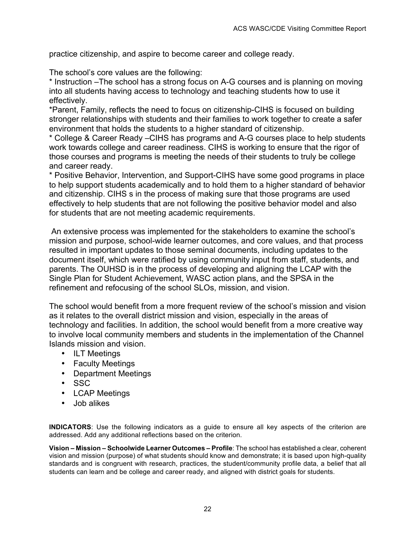practice citizenship, and aspire to become career and college ready.

The school's core values are the following:

\* Instruction –The school has a strong focus on A-G courses and is planning on moving into all students having access to technology and teaching students how to use it effectively.

\*Parent, Family, reflects the need to focus on citizenship-CIHS is focused on building stronger relationships with students and their families to work together to create a safer environment that holds the students to a higher standard of citizenship.

\* College & Career Ready –CIHS has programs and A-G courses place to help students work towards college and career readiness. CIHS is working to ensure that the rigor of those courses and programs is meeting the needs of their students to truly be college and career ready.

\* Positive Behavior, Intervention, and Support-CIHS have some good programs in place to help support students academically and to hold them to a higher standard of behavior and citizenship. CIHS s in the process of making sure that those programs are used effectively to help students that are not following the positive behavior model and also for students that are not meeting academic requirements.

An extensive process was implemented for the stakeholders to examine the school's mission and purpose, school-wide learner outcomes, and core values, and that process resulted in important updates to those seminal documents, including updates to the document itself, which were ratified by using community input from staff, students, and parents. The OUHSD is in the process of developing and aligning the LCAP with the Single Plan for Student Achievement, WASC action plans, and the SPSA in the refinement and refocusing of the school SLOs, mission, and vision.

The school would benefit from a more frequent review of the school's mission and vision as it relates to the overall district mission and vision, especially in the areas of technology and facilities. In addition, the school would benefit from a more creative way to involve local community members and students in the implementation of the Channel Islands mission and vision.

- ILT Meetings
- Faculty Meetings
- Department Meetings
- SSC
- LCAP Meetings
- Job alikes

**INDICATORS**: Use the following indicators as a guide to ensure all key aspects of the criterion are addressed. Add any additional reflections based on the criterion.

**Vision – Mission – Schoolwide Learner Outcomes – Profile**: The school has established a clear, coherent vision and mission (purpose) of what students should know and demonstrate; it is based upon high-quality standards and is congruent with research, practices, the student/community profile data, a belief that all students can learn and be college and career ready, and aligned with district goals for students.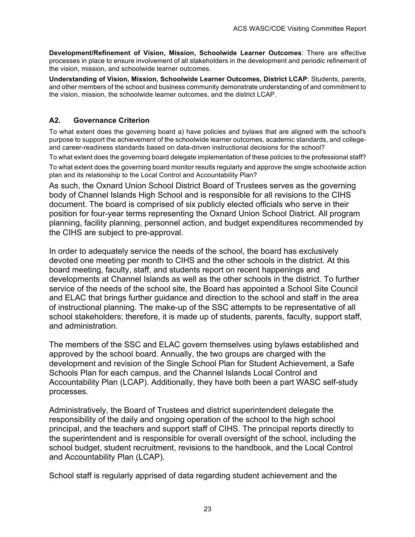**Development/Refinement of Vision, Mission, Schoolwide Learner Outcomes**: There are effective processes in place to ensure involvement of all stakeholders in the development and periodic refinement of the vision, mission, and schoolwide learner outcomes.

**Understanding of Vision, Mission, Schoolwide Learner Outcomes, District LCAP**: Students, parents, and other members of the school and business community demonstrate understanding of and commitment to the vision, mission, the schoolwide learner outcomes, and the district LCAP.

#### **A2. Governance Criterion**

To what extent does the governing board a) have policies and bylaws that are aligned with the school's purpose to support the achievement of the schoolwide learner outcomes, academic standards, and collegeand career-readiness standards based on data-driven instructional decisions for the school?

To what extent does the governing board delegate implementation of these policies to the professional staff? To what extent does the governing board monitor results regularly and approve the single schoolwide action plan and its relationship to the Local Control and Accountability Plan?

As such, the Oxnard Union School District Board of Trustees serves as the governing body of Channel Islands High School and is responsible for all revisions to the CIHS document. The board is comprised of six publicly elected officials who serve in their position for four-year terms representing the Oxnard Union School District. All program planning, facility planning, personnel action, and budget expenditures recommended by the CIHS are subject to pre-approval.

In order to adequately service the needs of the school, the board has exclusively devoted one meeting per month to CIHS and the other schools in the district. At this board meeting, faculty, staff, and students report on recent happenings and developments at Channel Islands as well as the other schools in the district. To further service of the needs of the school site, the Board has appointed a School Site Council and ELAC that brings further guidance and direction to the school and staff in the area of instructional planning. The make-up of the SSC attempts to be representative of all school stakeholders; therefore, it is made up of students, parents, faculty, support staff, and administration.

The members of the SSC and ELAC govern themselves using bylaws established and approved by the school board. Annually, the two groups are charged with the development and revision of the Single School Plan for Student Achievement, a Safe Schools Plan for each campus, and the Channel Islands Local Control and Accountability Plan (LCAP). Additionally, they have both been a part WASC self-study processes.

Administratively, the Board of Trustees and district superintendent delegate the responsibility of the daily and ongoing operation of the school to the high school principal, and the teachers and support staff of CIHS. The principal reports directly to the superintendent and is responsible for overall oversight of the school, including the school budget, student recruitment, revisions to the handbook, and the Local Control and Accountability Plan (LCAP).

School staff is regularly apprised of data regarding student achievement and the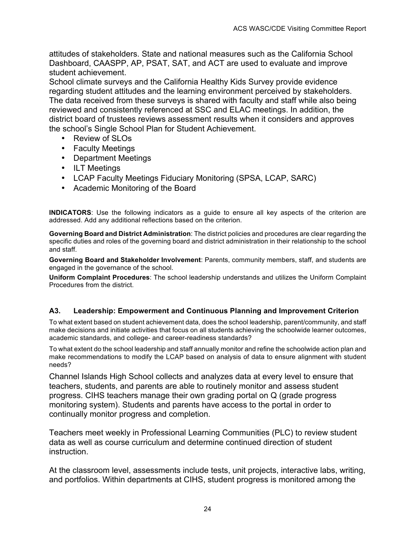attitudes of stakeholders. State and national measures such as the California School Dashboard, CAASPP, AP, PSAT, SAT, and ACT are used to evaluate and improve student achievement.

School climate surveys and the California Healthy Kids Survey provide evidence regarding student attitudes and the learning environment perceived by stakeholders. The data received from these surveys is shared with faculty and staff while also being reviewed and consistently referenced at SSC and ELAC meetings. In addition, the district board of trustees reviews assessment results when it considers and approves the school's Single School Plan for Student Achievement.

- Review of SLOs
- Faculty Meetings
- Department Meetings
- ILT Meetings
- LCAP Faculty Meetings Fiduciary Monitoring (SPSA, LCAP, SARC)
- Academic Monitoring of the Board

**INDICATORS**: Use the following indicators as a guide to ensure all key aspects of the criterion are addressed. Add any additional reflections based on the criterion.

**Governing Board and District Administration**: The district policies and procedures are clear regarding the specific duties and roles of the governing board and district administration in their relationship to the school and staff.

**Governing Board and Stakeholder Involvement**: Parents, community members, staff, and students are engaged in the governance of the school.

**Uniform Complaint Procedures**: The school leadership understands and utilizes the Uniform Complaint Procedures from the district.

#### **A3. Leadership: Empowerment and Continuous Planning and Improvement Criterion**

To what extent based on student achievement data, does the school leadership, parent/community, and staff make decisions and initiate activities that focus on all students achieving the schoolwide learner outcomes, academic standards, and college- and career-readiness standards?

To what extent do the school leadership and staff annually monitor and refine the schoolwide action plan and make recommendations to modify the LCAP based on analysis of data to ensure alignment with student needs?

Channel Islands High School collects and analyzes data at every level to ensure that teachers, students, and parents are able to routinely monitor and assess student progress. CIHS teachers manage their own grading portal on Q (grade progress monitoring system). Students and parents have access to the portal in order to continually monitor progress and completion.

Teachers meet weekly in Professional Learning Communities (PLC) to review student data as well as course curriculum and determine continued direction of student instruction.

At the classroom level, assessments include tests, unit projects, interactive labs, writing, and portfolios. Within departments at CIHS, student progress is monitored among the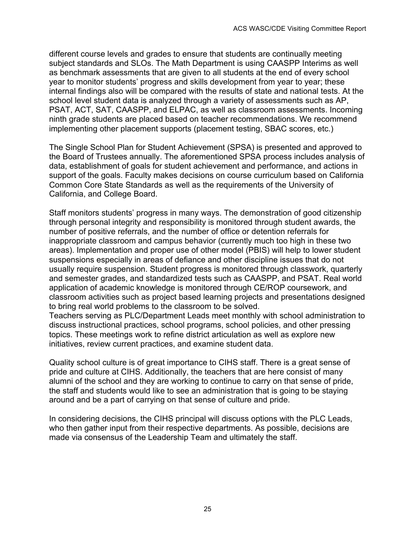different course levels and grades to ensure that students are continually meeting subject standards and SLOs. The Math Department is using CAASPP Interims as well as benchmark assessments that are given to all students at the end of every school year to monitor students' progress and skills development from year to year; these internal findings also will be compared with the results of state and national tests. At the school level student data is analyzed through a variety of assessments such as AP, PSAT, ACT, SAT, CAASPP, and ELPAC, as well as classroom assessments. Incoming ninth grade students are placed based on teacher recommendations. We recommend implementing other placement supports (placement testing, SBAC scores, etc.)

The Single School Plan for Student Achievement (SPSA) is presented and approved to the Board of Trustees annually. The aforementioned SPSA process includes analysis of data, establishment of goals for student achievement and performance, and actions in support of the goals. Faculty makes decisions on course curriculum based on California Common Core State Standards as well as the requirements of the University of California, and College Board.

Staff monitors students' progress in many ways. The demonstration of good citizenship through personal integrity and responsibility is monitored through student awards, the number of positive referrals, and the number of office or detention referrals for inappropriate classroom and campus behavior (currently much too high in these two areas). Implementation and proper use of other model (PBIS) will help to lower student suspensions especially in areas of defiance and other discipline issues that do not usually require suspension. Student progress is monitored through classwork, quarterly and semester grades, and standardized tests such as CAASPP, and PSAT. Real world application of academic knowledge is monitored through CE/ROP coursework, and classroom activities such as project based learning projects and presentations designed to bring real world problems to the classroom to be solved.

Teachers serving as PLC/Department Leads meet monthly with school administration to discuss instructional practices, school programs, school policies, and other pressing topics. These meetings work to refine district articulation as well as explore new initiatives, review current practices, and examine student data.

Quality school culture is of great importance to CIHS staff. There is a great sense of pride and culture at CIHS. Additionally, the teachers that are here consist of many alumni of the school and they are working to continue to carry on that sense of pride, the staff and students would like to see an administration that is going to be staying around and be a part of carrying on that sense of culture and pride.

In considering decisions, the CIHS principal will discuss options with the PLC Leads, who then gather input from their respective departments. As possible, decisions are made via consensus of the Leadership Team and ultimately the staff.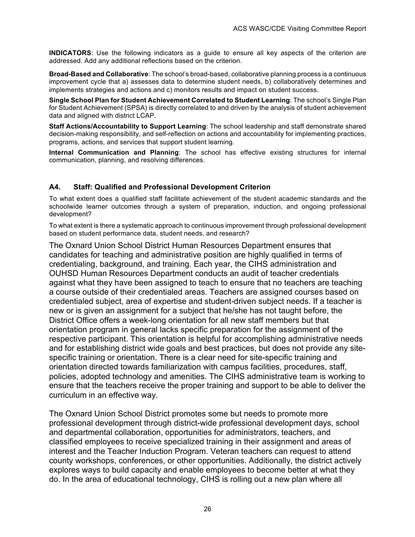**INDICATORS**: Use the following indicators as a guide to ensure all key aspects of the criterion are addressed. Add any additional reflections based on the criterion.

**Broad-Based and Collaborative**: The school's broad-based, collaborative planning process is a continuous improvement cycle that a) assesses data to determine student needs, b) collaboratively determines and implements strategies and actions and c) monitors results and impact on student success.

**Single School Plan for Student Achievement Correlated to Student Learning**: The school's Single Plan for Student Achievement (SPSA) is directly correlated to and driven by the analysis of student achievement data and aligned with district LCAP.

**Staff Actions/Accountability to Support Learning**: The school leadership and staff demonstrate shared decision-making responsibility, and self-reflection on actions and accountability for implementing practices, programs, actions, and services that support student learning.

**Internal Communication and Planning**: The school has effective existing structures for internal communication, planning, and resolving differences.

#### **A4. Staff: Qualified and Professional Development Criterion**

To what extent does a qualified staff facilitate achievement of the student academic standards and the schoolwide learner outcomes through a system of preparation, induction, and ongoing professional development?

To what extent is there a systematic approach to continuous improvement through professional development based on student performance data, student needs, and research?

The Oxnard Union School District Human Resources Department ensures that candidates for teaching and administrative position are highly qualified in terms of credentialing, background, and training. Each year, the CIHS administration and OUHSD Human Resources Department conducts an audit of teacher credentials against what they have been assigned to teach to ensure that no teachers are teaching a course outside of their credentialed areas. Teachers are assigned courses based on credentialed subject, area of expertise and student-driven subject needs. If a teacher is new or is given an assignment for a subject that he/she has not taught before, the District Office offers a week-long orientation for all new staff members but that orientation program in general lacks specific preparation for the assignment of the respective participant. This orientation is helpful for accomplishing administrative needs and for establishing district wide goals and best practices, but does not provide any sitespecific training or orientation. There is a clear need for site-specific training and orientation directed towards familiarization with campus facilities, procedures, staff, policies, adopted technology and amenities. The CIHS administrative team is working to ensure that the teachers receive the proper training and support to be able to deliver the curriculum in an effective way.

The Oxnard Union School District promotes some but needs to promote more professional development through district-wide professional development days, school and departmental collaboration, opportunities for administrators, teachers, and classified employees to receive specialized training in their assignment and areas of interest and the Teacher Induction Program. Veteran teachers can request to attend county workshops, conferences, or other opportunities. Additionally, the district actively explores ways to build capacity and enable employees to become better at what they do. In the area of educational technology, CIHS is rolling out a new plan where all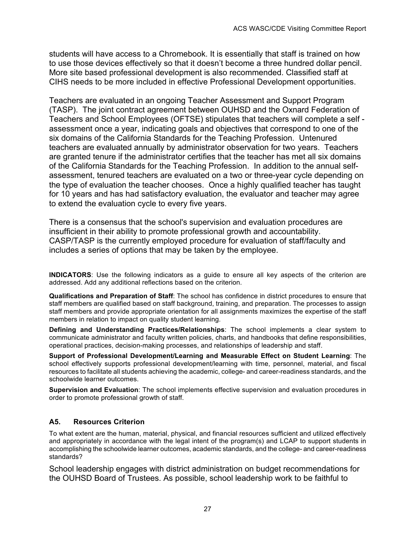students will have access to a Chromebook. It is essentially that staff is trained on how to use those devices effectively so that it doesn't become a three hundred dollar pencil. More site based professional development is also recommended. Classified staff at CIHS needs to be more included in effective Professional Development opportunities.

Teachers are evaluated in an ongoing Teacher Assessment and Support Program (TASP). The joint contract agreement between OUHSD and the Oxnard Federation of Teachers and School Employees (OFTSE) stipulates that teachers will complete a self assessment once a year, indicating goals and objectives that correspond to one of the six domains of the California Standards for the Teaching Profession. Untenured teachers are evaluated annually by administrator observation for two years. Teachers are granted tenure if the administrator certifies that the teacher has met all six domains of the California Standards for the Teaching Profession. In addition to the annual selfassessment, tenured teachers are evaluated on a two or three-year cycle depending on the type of evaluation the teacher chooses. Once a highly qualified teacher has taught for 10 years and has had satisfactory evaluation, the evaluator and teacher may agree to extend the evaluation cycle to every five years.

There is a consensus that the school's supervision and evaluation procedures are insufficient in their ability to promote professional growth and accountability. CASP/TASP is the currently employed procedure for evaluation of staff/faculty and includes a series of options that may be taken by the employee.

**INDICATORS**: Use the following indicators as a guide to ensure all key aspects of the criterion are addressed. Add any additional reflections based on the criterion.

**Qualifications and Preparation of Staff**: The school has confidence in district procedures to ensure that staff members are qualified based on staff background, training, and preparation. The processes to assign staff members and provide appropriate orientation for all assignments maximizes the expertise of the staff members in relation to impact on quality student learning.

**Defining and Understanding Practices/Relationships**: The school implements a clear system to communicate administrator and faculty written policies, charts, and handbooks that define responsibilities, operational practices, decision-making processes, and relationships of leadership and staff.

**Support of Professional Development/Learning and Measurable Effect on Student Learning**: The school effectively supports professional development/learning with time, personnel, material, and fiscal resources to facilitate all students achieving the academic, college- and career-readiness standards, and the schoolwide learner outcomes.

**Supervision and Evaluation**: The school implements effective supervision and evaluation procedures in order to promote professional growth of staff.

#### **A5. Resources Criterion**

To what extent are the human, material, physical, and financial resources sufficient and utilized effectively and appropriately in accordance with the legal intent of the program(s) and LCAP to support students in accomplishing the schoolwide learner outcomes, academic standards, and the college- and career-readiness standards?

School leadership engages with district administration on budget recommendations for the OUHSD Board of Trustees. As possible, school leadership work to be faithful to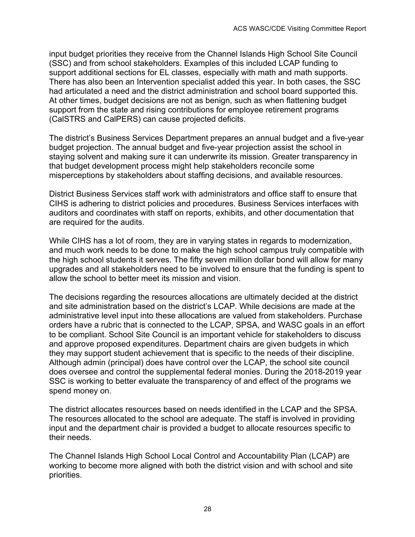input budget priorities they receive from the Channel Islands High School Site Council (SSC) and from school stakeholders. Examples of this included LCAP funding to support additional sections for EL classes, especially with math and math supports. There has also been an Intervention specialist added this year. In both cases, the SSC had articulated a need and the district administration and school board supported this. At other times, budget decisions are not as benign, such as when flattening budget support from the state and rising contributions for employee retirement programs (CalSTRS and CalPERS) can cause projected deficits.

The district's Business Services Department prepares an annual budget and a five-year budget projection. The annual budget and five-year projection assist the school in staying solvent and making sure it can underwrite its mission. Greater transparency in that budget development process might help stakeholders reconcile some misperceptions by stakeholders about staffing decisions, and available resources.

District Business Services staff work with administrators and office staff to ensure that CIHS is adhering to district policies and procedures. Business Services interfaces with auditors and coordinates with staff on reports, exhibits, and other documentation that are required for the audits.

While CIHS has a lot of room, they are in varying states in regards to modernization, and much work needs to be done to make the high school campus truly compatible with the high school students it serves. The fifty seven million dollar bond will allow for many upgrades and all stakeholders need to be involved to ensure that the funding is spent to allow the school to better meet its mission and vision.

The decisions regarding the resources allocations are ultimately decided at the district and site administration based on the district's LCAP. While decisions are made at the administrative level input into these allocations are valued from stakeholders. Purchase orders have a rubric that is connected to the LCAP, SPSA, and WASC goals in an effort to be compliant. School Site Council is an important vehicle for stakeholders to discuss and approve proposed expenditures. Department chairs are given budgets in which they may support student achievement that is specific to the needs of their discipline. Although admin (principal) does have control over the LCAP, the school site council does oversee and control the supplemental federal monies. During the 2018-2019 year SSC is working to better evaluate the transparency of and effect of the programs we spend money on.

The district allocates resources based on needs identified in the LCAP and the SPSA. The resources allocated to the school are adequate. The staff is involved in providing input and the department chair is provided a budget to allocate resources specific to their needs.

The Channel Islands High School Local Control and Accountability Plan (LCAP) are working to become more aligned with both the district vision and with school and site priorities.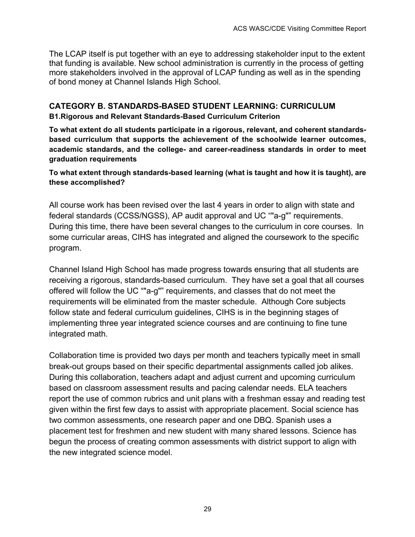The LCAP itself is put together with an eye to addressing stakeholder input to the extent that funding is available. New school administration is currently in the process of getting more stakeholders involved in the approval of LCAP funding as well as in the spending of bond money at Channel Islands High School.

# **CATEGORY B. STANDARDS-BASED STUDENT LEARNING: CURRICULUM**

#### **B1.Rigorous and Relevant Standards-Based Curriculum Criterion**

**To what extent do all students participate in a rigorous, relevant, and coherent standardsbased curriculum that supports the achievement of the schoolwide learner outcomes, academic standards, and the college- and career-readiness standards in order to meet graduation requirements**

**To what extent through standards-based learning (what is taught and how it is taught), are these accomplished?**

All course work has been revised over the last 4 years in order to align with state and federal standards (CCSS/NGSS), AP audit approval and UC ""a-g"" requirements. During this time, there have been several changes to the curriculum in core courses. In some curricular areas, CIHS has integrated and aligned the coursework to the specific program.

Channel Island High School has made progress towards ensuring that all students are receiving a rigorous, standards-based curriculum. They have set a goal that all courses offered will follow the UC ""a-g"" requirements, and classes that do not meet the requirements will be eliminated from the master schedule. Although Core subjects follow state and federal curriculum guidelines, CIHS is in the beginning stages of implementing three year integrated science courses and are continuing to fine tune integrated math.

Collaboration time is provided two days per month and teachers typically meet in small break-out groups based on their specific departmental assignments called job alikes. During this collaboration, teachers adapt and adjust current and upcoming curriculum based on classroom assessment results and pacing calendar needs. ELA teachers report the use of common rubrics and unit plans with a freshman essay and reading test given within the first few days to assist with appropriate placement. Social science has two common assessments, one research paper and one DBQ. Spanish uses a placement test for freshmen and new student with many shared lessons. Science has begun the process of creating common assessments with district support to align with the new integrated science model.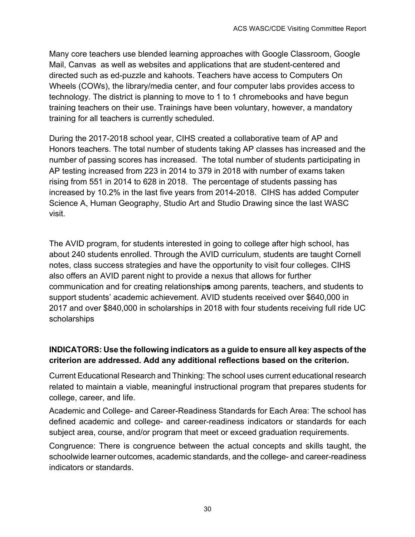Many core teachers use blended learning approaches with Google Classroom, Google Mail, Canvas as well as websites and applications that are student-centered and directed such as ed-puzzle and kahoots. Teachers have access to Computers On Wheels (COWs), the library/media center, and four computer labs provides access to technology. The district is planning to move to 1 to 1 chromebooks and have begun training teachers on their use. Trainings have been voluntary, however, a mandatory training for all teachers is currently scheduled.

During the 2017-2018 school year, CIHS created a collaborative team of AP and Honors teachers. The total number of students taking AP classes has increased and the number of passing scores has increased. The total number of students participating in AP testing increased from 223 in 2014 to 379 in 2018 with number of exams taken rising from 551 in 2014 to 628 in 2018. The percentage of students passing has increased by 10.2% in the last five years from 2014-2018. CIHS has added Computer Science A, Human Geography, Studio Art and Studio Drawing since the last WASC visit.

The AVID program, for students interested in going to college after high school, has about 240 students enrolled. Through the AVID curriculum, students are taught Cornell notes, class success strategies and have the opportunity to visit four colleges. CIHS also offers an AVID parent night to provide a nexus that allows for further communication and for creating relationship**s** among parents, teachers, and students to support students' academic achievement. AVID students received over \$640,000 in 2017 and over \$840,000 in scholarships in 2018 with four students receiving full ride UC scholarships

# **INDICATORS: Use the following indicators as a guide to ensure all key aspects of the criterion are addressed. Add any additional reflections based on the criterion.**

Current Educational Research and Thinking: The school uses current educational research related to maintain a viable, meaningful instructional program that prepares students for college, career, and life.

Academic and College- and Career-Readiness Standards for Each Area: The school has defined academic and college- and career-readiness indicators or standards for each subject area, course, and/or program that meet or exceed graduation requirements.

Congruence: There is congruence between the actual concepts and skills taught, the schoolwide learner outcomes, academic standards, and the college- and career-readiness indicators or standards.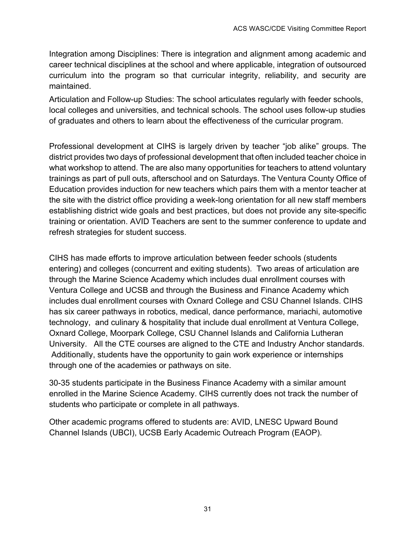Integration among Disciplines: There is integration and alignment among academic and career technical disciplines at the school and where applicable, integration of outsourced curriculum into the program so that curricular integrity, reliability, and security are maintained.

Articulation and Follow-up Studies: The school articulates regularly with feeder schools, local colleges and universities, and technical schools. The school uses follow-up studies of graduates and others to learn about the effectiveness of the curricular program.

Professional development at CIHS is largely driven by teacher "job alike" groups. The district provides two days of professional development that often included teacher choice in what workshop to attend. The are also many opportunities for teachers to attend voluntary trainings as part of pull outs, afterschool and on Saturdays. The Ventura County Office of Education provides induction for new teachers which pairs them with a mentor teacher at the site with the district office providing a week-long orientation for all new staff members establishing district wide goals and best practices, but does not provide any site-specific training or orientation. AVID Teachers are sent to the summer conference to update and refresh strategies for student success.

CIHS has made efforts to improve articulation between feeder schools (students entering) and colleges (concurrent and exiting students). Two areas of articulation are through the Marine Science Academy which includes dual enrollment courses with Ventura College and UCSB and through the Business and Finance Academy which includes dual enrollment courses with Oxnard College and CSU Channel Islands. CIHS has six career pathways in robotics, medical, dance performance, mariachi, automotive technology, and culinary & hospitality that include dual enrollment at Ventura College, Oxnard College, Moorpark College, CSU Channel Islands and California Lutheran University. All the CTE courses are aligned to the CTE and Industry Anchor standards. Additionally, students have the opportunity to gain work experience or internships through one of the academies or pathways on site.

30-35 students participate in the Business Finance Academy with a similar amount enrolled in the Marine Science Academy. CIHS currently does not track the number of students who participate or complete in all pathways.

Other academic programs offered to students are: AVID, LNESC Upward Bound Channel Islands (UBCI), UCSB Early Academic Outreach Program (EAOP).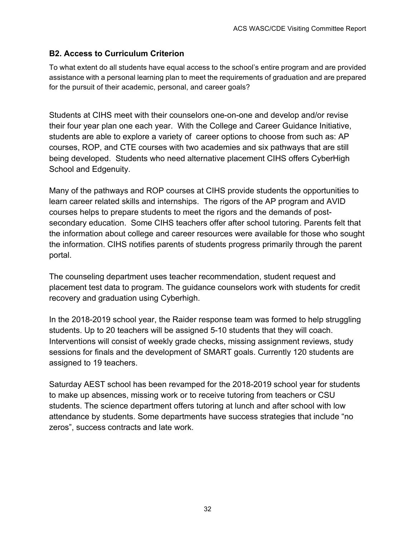### **B2. Access to Curriculum Criterion**

To what extent do all students have equal access to the school's entire program and are provided assistance with a personal learning plan to meet the requirements of graduation and are prepared for the pursuit of their academic, personal, and career goals?

Students at CIHS meet with their counselors one-on-one and develop and/or revise their four year plan one each year. With the College and Career Guidance Initiative, students are able to explore a variety of career options to choose from such as: AP courses, ROP, and CTE courses with two academies and six pathways that are still being developed. Students who need alternative placement CIHS offers CyberHigh School and Edgenuity.

Many of the pathways and ROP courses at CIHS provide students the opportunities to learn career related skills and internships. The rigors of the AP program and AVID courses helps to prepare students to meet the rigors and the demands of postsecondary education. Some CIHS teachers offer after school tutoring. Parents felt that the information about college and career resources were available for those who sought the information. CIHS notifies parents of students progress primarily through the parent portal.

The counseling department uses teacher recommendation, student request and placement test data to program. The guidance counselors work with students for credit recovery and graduation using Cyberhigh.

In the 2018-2019 school year, the Raider response team was formed to help struggling students. Up to 20 teachers will be assigned 5-10 students that they will coach. Interventions will consist of weekly grade checks, missing assignment reviews, study sessions for finals and the development of SMART goals. Currently 120 students are assigned to 19 teachers.

Saturday AEST school has been revamped for the 2018-2019 school year for students to make up absences, missing work or to receive tutoring from teachers or CSU students. The science department offers tutoring at lunch and after school with low attendance by students. Some departments have success strategies that include "no zeros", success contracts and late work.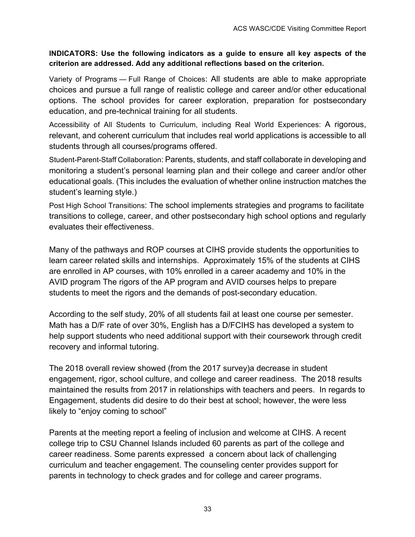#### **INDICATORS: Use the following indicators as a guide to ensure all key aspects of the criterion are addressed. Add any additional reflections based on the criterion.**

Variety of Programs — Full Range of Choices: All students are able to make appropriate choices and pursue a full range of realistic college and career and/or other educational options. The school provides for career exploration, preparation for postsecondary education, and pre-technical training for all students.

Accessibility of All Students to Curriculum, including Real World Experiences: A rigorous, relevant, and coherent curriculum that includes real world applications is accessible to all students through all courses/programs offered.

Student-Parent-Staff Collaboration: Parents, students, and staff collaborate in developing and monitoring a student's personal learning plan and their college and career and/or other educational goals. (This includes the evaluation of whether online instruction matches the student's learning style.)

Post High School Transitions: The school implements strategies and programs to facilitate transitions to college, career, and other postsecondary high school options and regularly evaluates their effectiveness.

Many of the pathways and ROP courses at CIHS provide students the opportunities to learn career related skills and internships. Approximately 15% of the students at CIHS are enrolled in AP courses, with 10% enrolled in a career academy and 10% in the AVID program The rigors of the AP program and AVID courses helps to prepare students to meet the rigors and the demands of post-secondary education.

According to the self study, 20% of all students fail at least one course per semester. Math has a D/F rate of over 30%, English has a D/FCIHS has developed a system to help support students who need additional support with their coursework through credit recovery and informal tutoring.

The 2018 overall review showed (from the 2017 survey)a decrease in student engagement, rigor, school culture, and college and career readiness. The 2018 results maintained the results from 2017 in relationships with teachers and peers. In regards to Engagement, students did desire to do their best at school; however, the were less likely to "enjoy coming to school"

Parents at the meeting report a feeling of inclusion and welcome at CIHS. A recent college trip to CSU Channel Islands included 60 parents as part of the college and career readiness. Some parents expressed a concern about lack of challenging curriculum and teacher engagement. The counseling center provides support for parents in technology to check grades and for college and career programs.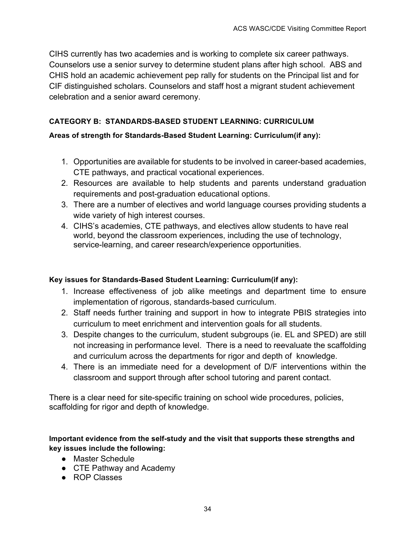CIHS currently has two academies and is working to complete six career pathways. Counselors use a senior survey to determine student plans after high school. ABS and CHIS hold an academic achievement pep rally for students on the Principal list and for CIF distinguished scholars. Counselors and staff host a migrant student achievement celebration and a senior award ceremony.

# **CATEGORY B: STANDARDS-BASED STUDENT LEARNING: CURRICULUM**

# **Areas of strength for Standards-Based Student Learning: Curriculum(if any):**

- 1. Opportunities are available for students to be involved in career-based academies, CTE pathways, and practical vocational experiences.
- 2. Resources are available to help students and parents understand graduation requirements and post-graduation educational options.
- 3. There are a number of electives and world language courses providing students a wide variety of high interest courses.
- 4. CIHS's academies, CTE pathways, and electives allow students to have real world, beyond the classroom experiences, including the use of technology, service-learning, and career research/experience opportunities.

# **Key issues for Standards-Based Student Learning: Curriculum(if any):**

- 1. Increase effectiveness of job alike meetings and department time to ensure implementation of rigorous, standards-based curriculum.
- 2. Staff needs further training and support in how to integrate PBIS strategies into curriculum to meet enrichment and intervention goals for all students.
- 3. Despite changes to the curriculum, student subgroups (ie. EL and SPED) are still not increasing in performance level. There is a need to reevaluate the scaffolding and curriculum across the departments for rigor and depth of knowledge.
- 4. There is an immediate need for a development of D/F interventions within the classroom and support through after school tutoring and parent contact.

There is a clear need for site-specific training on school wide procedures, policies, scaffolding for rigor and depth of knowledge.

# **Important evidence from the self-study and the visit that supports these strengths and key issues include the following:**

- Master Schedule
- CTE Pathway and Academy
- ROP Classes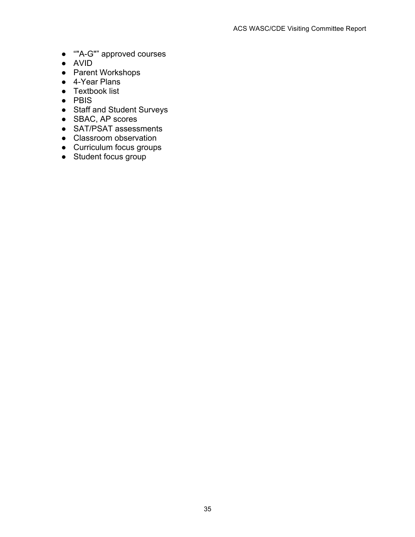- ""A-G"" approved courses
- AVID
- Parent Workshops
- 4-Year Plans
- Textbook list
- PBIS
- Staff and Student Surveys
- SBAC, AP scores
- SAT/PSAT assessments
- Classroom observation
- Curriculum focus groups
- Student focus group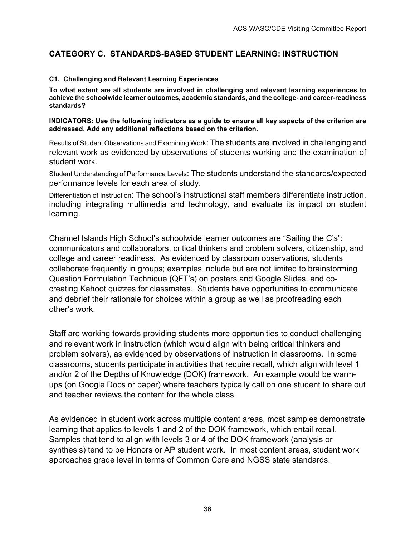# **CATEGORY C. STANDARDS-BASED STUDENT LEARNING: INSTRUCTION**

#### **C1. Challenging and Relevant Learning Experiences**

**To what extent are all students are involved in challenging and relevant learning experiences to achieve the schoolwide learner outcomes, academic standards, and the college- and career-readiness standards?**

**INDICATORS: Use the following indicators as a guide to ensure all key aspects of the criterion are addressed. Add any additional reflections based on the criterion.**

Results of Student Observations and Examining Work: The students are involved in challenging and relevant work as evidenced by observations of students working and the examination of student work.

Student Understanding of Performance Levels: The students understand the standards/expected performance levels for each area of study.

Differentiation of Instruction: The school's instructional staff members differentiate instruction, including integrating multimedia and technology, and evaluate its impact on student learning.

Channel Islands High School's schoolwide learner outcomes are "Sailing the C's": communicators and collaborators, critical thinkers and problem solvers, citizenship, and college and career readiness. As evidenced by classroom observations, students collaborate frequently in groups; examples include but are not limited to brainstorming Question Formulation Technique (QFT's) on posters and Google Slides, and cocreating Kahoot quizzes for classmates. Students have opportunities to communicate and debrief their rationale for choices within a group as well as proofreading each other's work.

Staff are working towards providing students more opportunities to conduct challenging and relevant work in instruction (which would align with being critical thinkers and problem solvers), as evidenced by observations of instruction in classrooms. In some classrooms, students participate in activities that require recall, which align with level 1 and/or 2 of the Depths of Knowledge (DOK) framework. An example would be warmups (on Google Docs or paper) where teachers typically call on one student to share out and teacher reviews the content for the whole class.

As evidenced in student work across multiple content areas, most samples demonstrate learning that applies to levels 1 and 2 of the DOK framework, which entail recall. Samples that tend to align with levels 3 or 4 of the DOK framework (analysis or synthesis) tend to be Honors or AP student work. In most content areas, student work approaches grade level in terms of Common Core and NGSS state standards.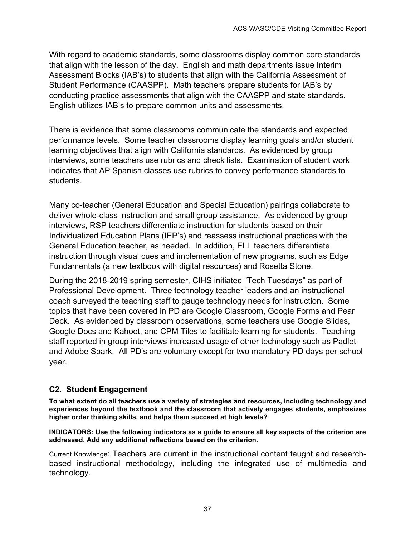With regard to academic standards, some classrooms display common core standards that align with the lesson of the day. English and math departments issue Interim Assessment Blocks (IAB's) to students that align with the California Assessment of Student Performance (CAASPP). Math teachers prepare students for IAB's by conducting practice assessments that align with the CAASPP and state standards. English utilizes IAB's to prepare common units and assessments.

There is evidence that some classrooms communicate the standards and expected performance levels. Some teacher classrooms display learning goals and/or student learning objectives that align with California standards. As evidenced by group interviews, some teachers use rubrics and check lists. Examination of student work indicates that AP Spanish classes use rubrics to convey performance standards to students.

Many co-teacher (General Education and Special Education) pairings collaborate to deliver whole-class instruction and small group assistance. As evidenced by group interviews, RSP teachers differentiate instruction for students based on their Individualized Education Plans (IEP's) and reassess instructional practices with the General Education teacher, as needed. In addition, ELL teachers differentiate instruction through visual cues and implementation of new programs, such as Edge Fundamentals (a new textbook with digital resources) and Rosetta Stone.

During the 2018-2019 spring semester, CIHS initiated "Tech Tuesdays" as part of Professional Development. Three technology teacher leaders and an instructional coach surveyed the teaching staff to gauge technology needs for instruction. Some topics that have been covered in PD are Google Classroom, Google Forms and Pear Deck. As evidenced by classroom observations, some teachers use Google Slides, Google Docs and Kahoot, and CPM Tiles to facilitate learning for students. Teaching staff reported in group interviews increased usage of other technology such as Padlet and Adobe Spark. All PD's are voluntary except for two mandatory PD days per school year.

# **C2. Student Engagement**

**To what extent do all teachers use a variety of strategies and resources, including technology and experiences beyond the textbook and the classroom that actively engages students, emphasizes higher order thinking skills, and helps them succeed at high levels?**

**INDICATORS: Use the following indicators as a guide to ensure all key aspects of the criterion are addressed. Add any additional reflections based on the criterion.**

Current Knowledge: Teachers are current in the instructional content taught and researchbased instructional methodology, including the integrated use of multimedia and technology.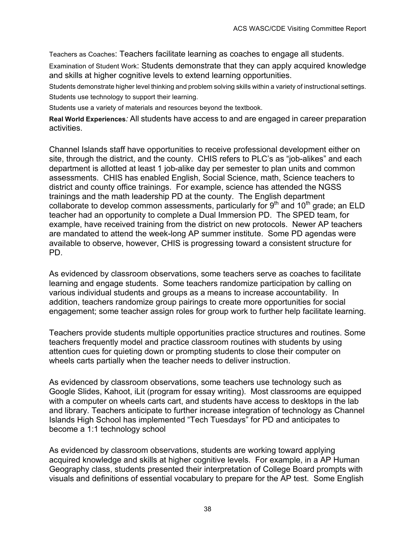Teachers as Coaches: Teachers facilitate learning as coaches to engage all students.

Examination of Student Work: Students demonstrate that they can apply acquired knowledge and skills at higher cognitive levels to extend learning opportunities.

Students demonstrate higher level thinking and problem solving skills within a variety of instructional settings. Students use technology to support their learning.

Students use a variety of materials and resources beyond the textbook.

**Real World Experiences***:* All students have access to and are engaged in career preparation activities.

Channel Islands staff have opportunities to receive professional development either on site, through the district, and the county. CHIS refers to PLC's as "job-alikes" and each department is allotted at least 1 job-alike day per semester to plan units and common assessments. CHIS has enabled English, Social Science, math, Science teachers to district and county office trainings. For example, science has attended the NGSS trainings and the math leadership PD at the county. The English department collaborate to develop common assessments, particularly for  $9<sup>th</sup>$  and  $10<sup>th</sup>$  grade; an ELD teacher had an opportunity to complete a Dual Immersion PD. The SPED team, for example, have received training from the district on new protocols. Newer AP teachers are mandated to attend the week-long AP summer institute. Some PD agendas were available to observe, however, CHIS is progressing toward a consistent structure for PD.

As evidenced by classroom observations, some teachers serve as coaches to facilitate learning and engage students. Some teachers randomize participation by calling on various individual students and groups as a means to increase accountability. In addition, teachers randomize group pairings to create more opportunities for social engagement; some teacher assign roles for group work to further help facilitate learning.

Teachers provide students multiple opportunities practice structures and routines. Some teachers frequently model and practice classroom routines with students by using attention cues for quieting down or prompting students to close their computer on wheels carts partially when the teacher needs to deliver instruction.

As evidenced by classroom observations, some teachers use technology such as Google Slides, Kahoot, iLit (program for essay writing). Most classrooms are equipped with a computer on wheels carts cart, and students have access to desktops in the lab and library. Teachers anticipate to further increase integration of technology as Channel Islands High School has implemented "Tech Tuesdays" for PD and anticipates to become a 1:1 technology school

As evidenced by classroom observations, students are working toward applying acquired knowledge and skills at higher cognitive levels. For example, in a AP Human Geography class, students presented their interpretation of College Board prompts with visuals and definitions of essential vocabulary to prepare for the AP test. Some English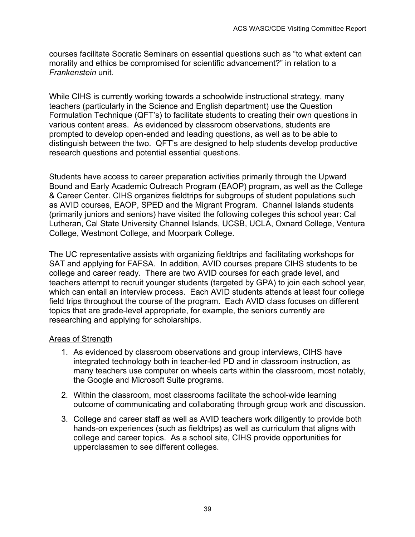courses facilitate Socratic Seminars on essential questions such as "to what extent can morality and ethics be compromised for scientific advancement?" in relation to a *Frankenstein* unit.

While CIHS is currently working towards a schoolwide instructional strategy, many teachers (particularly in the Science and English department) use the Question Formulation Technique (QFT's) to facilitate students to creating their own questions in various content areas. As evidenced by classroom observations, students are prompted to develop open-ended and leading questions, as well as to be able to distinguish between the two. QFT's are designed to help students develop productive research questions and potential essential questions.

Students have access to career preparation activities primarily through the Upward Bound and Early Academic Outreach Program (EAOP) program, as well as the College & Career Center. CIHS organizes fieldtrips for subgroups of student populations such as AVID courses, EAOP, SPED and the Migrant Program. Channel Islands students (primarily juniors and seniors) have visited the following colleges this school year: Cal Lutheran, Cal State University Channel Islands, UCSB, UCLA, Oxnard College, Ventura College, Westmont College, and Moorpark College.

The UC representative assists with organizing fieldtrips and facilitating workshops for SAT and applying for FAFSA. In addition, AVID courses prepare CIHS students to be college and career ready. There are two AVID courses for each grade level, and teachers attempt to recruit younger students (targeted by GPA) to join each school year, which can entail an interview process. Each AVID students attends at least four college field trips throughout the course of the program. Each AVID class focuses on different topics that are grade-level appropriate, for example, the seniors currently are researching and applying for scholarships.

# Areas of Strength

- 1. As evidenced by classroom observations and group interviews, CIHS have integrated technology both in teacher-led PD and in classroom instruction, as many teachers use computer on wheels carts within the classroom, most notably, the Google and Microsoft Suite programs.
- 2. Within the classroom, most classrooms facilitate the school-wide learning outcome of communicating and collaborating through group work and discussion.
- 3. College and career staff as well as AVID teachers work diligently to provide both hands-on experiences (such as fieldtrips) as well as curriculum that aligns with college and career topics. As a school site, CIHS provide opportunities for upperclassmen to see different colleges.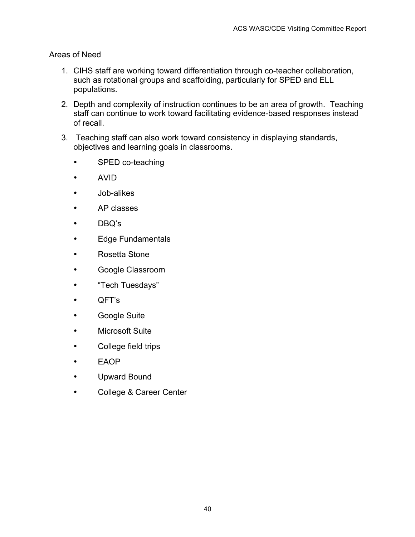# Areas of Need

- 1. CIHS staff are working toward differentiation through co-teacher collaboration, such as rotational groups and scaffolding, particularly for SPED and ELL populations.
- 2. Depth and complexity of instruction continues to be an area of growth. Teaching staff can continue to work toward facilitating evidence-based responses instead of recall.
- 3. Teaching staff can also work toward consistency in displaying standards, objectives and learning goals in classrooms.
	- SPED co-teaching
	- AVID
	- Job-alikes
	- AP classes
	- DBQ's
	- Edge Fundamentals
	- Rosetta Stone
	- Google Classroom
	- "Tech Tuesdays"
	- QFT's
	- Google Suite
	- Microsoft Suite
	- College field trips
	- EAOP
	- Upward Bound
	- College & Career Center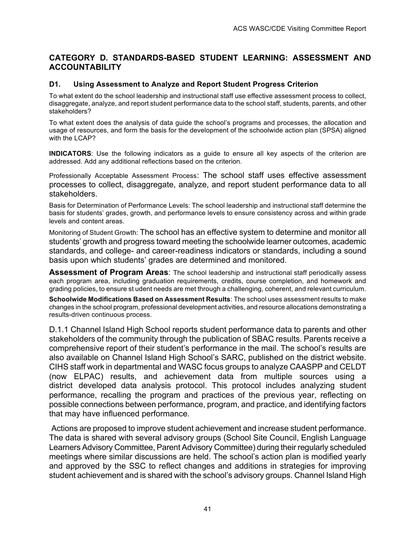### **CATEGORY D. STANDARDS-BASED STUDENT LEARNING: ASSESSMENT AND ACCOUNTABILITY**

#### **D1. Using Assessment to Analyze and Report Student Progress Criterion**

To what extent do the school leadership and instructional staff use effective assessment process to collect, disaggregate, analyze, and report student performance data to the school staff, students, parents, and other stakeholders?

To what extent does the analysis of data guide the school's programs and processes, the allocation and usage of resources, and form the basis for the development of the schoolwide action plan (SPSA) aligned with the LCAP?

**INDICATORS**: Use the following indicators as a guide to ensure all key aspects of the criterion are addressed. Add any additional reflections based on the criterion.

Professionally Acceptable Assessment Process: The school staff uses effective assessment processes to collect, disaggregate, analyze, and report student performance data to all stakeholders.

Basis for Determination of Performance Levels: The school leadership and instructional staff determine the basis for students' grades, growth, and performance levels to ensure consistency across and within grade levels and content areas.

Monitoring of Student Growth: The school has an effective system to determine and monitor all students' growth and progress toward meeting the schoolwide learner outcomes, academic standards, and college- and career-readiness indicators or standards, including a sound basis upon which students' grades are determined and monitored.

**Assessment of Program Areas**: The school leadership and instructional staff periodically assess each program area, including graduation requirements, credits, course completion, and homework and grading policies, to ensure st udent needs are met through a challenging, coherent, and relevant curriculum.

**Schoolwide Modifications Based on Assessment Results**: The school uses assessment results to make changes in the school program, professional development activities, and resource allocations demonstrating a results-driven continuous process.

D.1.1 Channel Island High School reports student performance data to parents and other stakeholders of the community through the publication of SBAC results. Parents receive a comprehensive report of their student's performance in the mail. The school's results are also available on Channel Island High School's SARC, published on the district website. CIHS staff work in departmental and WASC focus groups to analyze CAASPP and CELDT (now ELPAC) results, and achievement data from multiple sources using a district developed data analysis protocol. This protocol includes analyzing student performance, recalling the program and practices of the previous year, reflecting on possible connections between performance, program, and practice, and identifying factors that may have influenced performance.

Actions are proposed to improve student achievement and increase student performance. The data is shared with several advisory groups (School Site Council, English Language Learners Advisory Committee, Parent Advisory Committee) during their regularly scheduled meetings where similar discussions are held. The school's action plan is modified yearly and approved by the SSC to reflect changes and additions in strategies for improving student achievement and is shared with the school's advisory groups. Channel Island High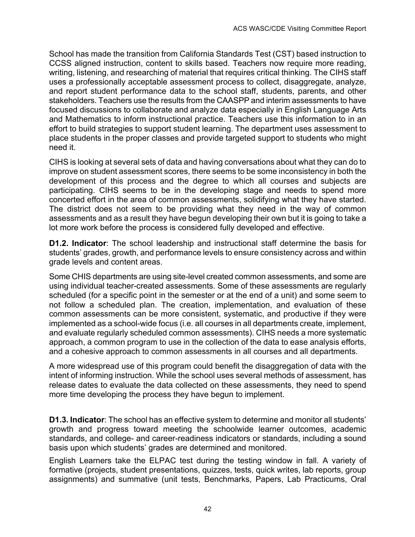School has made the transition from California Standards Test (CST) based instruction to CCSS aligned instruction, content to skills based. Teachers now require more reading, writing, listening, and researching of material that requires critical thinking. The CIHS staff uses a professionally acceptable assessment process to collect, disaggregate, analyze, and report student performance data to the school staff, students, parents, and other stakeholders. Teachers use the results from the CAASPP and interim assessments to have focused discussions to collaborate and analyze data especially in English Language Arts and Mathematics to inform instructional practice. Teachers use this information to in an effort to build strategies to support student learning. The department uses assessment to place students in the proper classes and provide targeted support to students who might need it.

CIHS is looking at several sets of data and having conversations about what they can do to improve on student assessment scores, there seems to be some inconsistency in both the development of this process and the degree to which all courses and subjects are participating. CIHS seems to be in the developing stage and needs to spend more concerted effort in the area of common assessments, solidifying what they have started. The district does not seem to be providing what they need in the way of common assessments and as a result they have begun developing their own but it is going to take a lot more work before the process is considered fully developed and effective.

**D1.2. Indicator**: The school leadership and instructional staff determine the basis for students' grades, growth, and performance levels to ensure consistency across and within grade levels and content areas.

Some CHIS departments are using site-level created common assessments, and some are using individual teacher-created assessments. Some of these assessments are regularly scheduled (for a specific point in the semester or at the end of a unit) and some seem to not follow a scheduled plan. The creation, implementation, and evaluation of these common assessments can be more consistent, systematic, and productive if they were implemented as a school-wide focus (i.e. all courses in all departments create, implement, and evaluate regularly scheduled common assessments). CIHS needs a more systematic approach, a common program to use in the collection of the data to ease analysis efforts, and a cohesive approach to common assessments in all courses and all departments.

A more widespread use of this program could benefit the disaggregation of data with the intent of informing instruction. While the school uses several methods of assessment, has release dates to evaluate the data collected on these assessments, they need to spend more time developing the process they have begun to implement.

**D1.3. Indicator**: The school has an effective system to determine and monitor all students' growth and progress toward meeting the schoolwide learner outcomes, academic standards, and college- and career-readiness indicators or standards, including a sound basis upon which students' grades are determined and monitored.

English Learners take the ELPAC test during the testing window in fall. A variety of formative (projects, student presentations, quizzes, tests, quick writes, lab reports, group assignments) and summative (unit tests, Benchmarks, Papers, Lab Practicums, Oral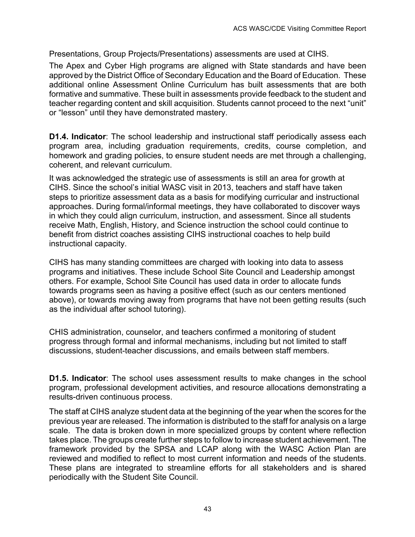Presentations, Group Projects/Presentations) assessments are used at CIHS.

The Apex and Cyber High programs are aligned with State standards and have been approved by the District Office of Secondary Education and the Board of Education. These additional online Assessment Online Curriculum has built assessments that are both formative and summative. These built in assessments provide feedback to the student and teacher regarding content and skill acquisition. Students cannot proceed to the next "unit" or "lesson" until they have demonstrated mastery.

**D1.4. Indicator**: The school leadership and instructional staff periodically assess each program area, including graduation requirements, credits, course completion, and homework and grading policies, to ensure student needs are met through a challenging, coherent, and relevant curriculum.

It was acknowledged the strategic use of assessments is still an area for growth at CIHS. Since the school's initial WASC visit in 2013, teachers and staff have taken steps to prioritize assessment data as a basis for modifying curricular and instructional approaches. During formal/informal meetings, they have collaborated to discover ways in which they could align curriculum, instruction, and assessment. Since all students receive Math, English, History, and Science instruction the school could continue to benefit from district coaches assisting CIHS instructional coaches to help build instructional capacity.

CIHS has many standing committees are charged with looking into data to assess programs and initiatives. These include School Site Council and Leadership amongst others. For example, School Site Council has used data in order to allocate funds towards programs seen as having a positive effect (such as our centers mentioned above), or towards moving away from programs that have not been getting results (such as the individual after school tutoring).

CHIS administration, counselor, and teachers confirmed a monitoring of student progress through formal and informal mechanisms, including but not limited to staff discussions, student-teacher discussions, and emails between staff members.

**D1.5. Indicator:** The school uses assessment results to make changes in the school program, professional development activities, and resource allocations demonstrating a results-driven continuous process.

The staff at CIHS analyze student data at the beginning of the year when the scores for the previous year are released. The information is distributed to the staff for analysis on a large scale. The data is broken down in more specialized groups by content where reflection takes place. The groups create further steps to follow to increase student achievement. The framework provided by the SPSA and LCAP along with the WASC Action Plan are reviewed and modified to reflect to most current information and needs of the students. These plans are integrated to streamline efforts for all stakeholders and is shared periodically with the Student Site Council.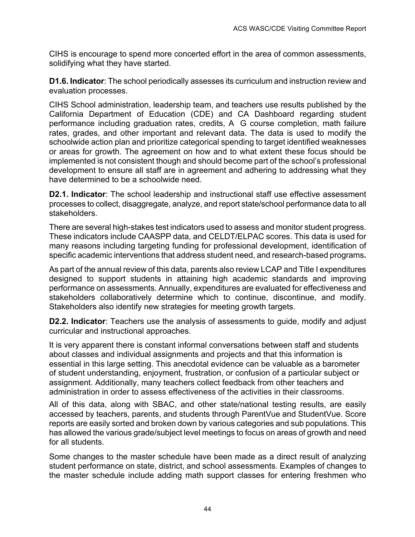CIHS is encourage to spend more concerted effort in the area of common assessments, solidifying what they have started.

**D1.6. Indicator**: The school periodically assesses its curriculum and instruction review and evaluation processes.

CIHS School administration, leadership team, and teachers use results published by the California Department of Education (CDE) and CA Dashboard regarding student performance including graduation rates, credits, A G course completion, math failure rates, grades, and other important and relevant data. The data is used to modify the schoolwide action plan and prioritize categorical spending to target identified weaknesses or areas for growth. The agreement on how and to what extent these focus should be implemented is not consistent though and should become part of the school's professional development to ensure all staff are in agreement and adhering to addressing what they have determined to be a schoolwide need.

**D2.1. Indicator**: The school leadership and instructional staff use effective assessment processes to collect, disaggregate, analyze, and report state/school performance data to all stakeholders.

There are several high-stakes test indicators used to assess and monitor student progress. These indicators include CAASPP data, and CELDT/ELPAC scores. This data is used for many reasons including targeting funding for professional development, identification of specific academic interventions that address student need, and research-based programs**.** 

As part of the annual review of this data, parents also review LCAP and Title I expenditures designed to support students in attaining high academic standards and improving performance on assessments. Annually, expenditures are evaluated for effectiveness and stakeholders collaboratively determine which to continue, discontinue, and modify. Stakeholders also identify new strategies for meeting growth targets.

**D2.2. Indicator**: Teachers use the analysis of assessments to guide, modify and adjust curricular and instructional approaches.

It is very apparent there is constant informal conversations between staff and students about classes and individual assignments and projects and that this information is essential in this large setting. This anecdotal evidence can be valuable as a barometer of student understanding, enjoyment, frustration, or confusion of a particular subject or assignment. Additionally, many teachers collect feedback from other teachers and administration in order to assess effectiveness of the activities in their classrooms.

All of this data, along with SBAC, and other state/national testing results, are easily accessed by teachers, parents, and students through ParentVue and StudentVue. Score reports are easily sorted and broken down by various categories and sub populations. This has allowed the various grade/subject level meetings to focus on areas of growth and need for all students.

Some changes to the master schedule have been made as a direct result of analyzing student performance on state, district, and school assessments. Examples of changes to the master schedule include adding math support classes for entering freshmen who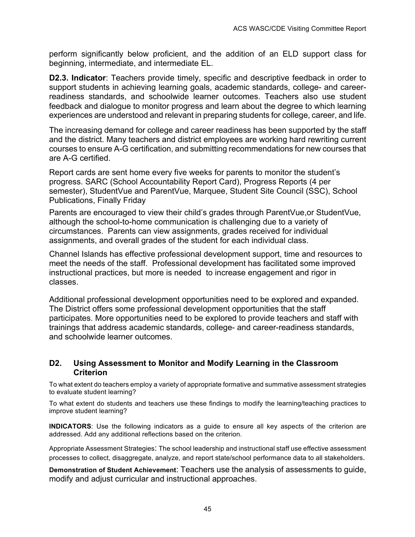perform significantly below proficient, and the addition of an ELD support class for beginning, intermediate, and intermediate EL.

**D2.3. Indicator:** Teachers provide timely, specific and descriptive feedback in order to support students in achieving learning goals, academic standards, college- and careerreadiness standards, and schoolwide learner outcomes. Teachers also use student feedback and dialogue to monitor progress and learn about the degree to which learning experiences are understood and relevant in preparing students for college, career, and life.

The increasing demand for college and career readiness has been supported by the staff and the district. Many teachers and district employees are working hard rewriting current courses to ensure A-G certification, and submitting recommendations for new courses that are A-G certified.

Report cards are sent home every five weeks for parents to monitor the student's progress. SARC (School Accountability Report Card), Progress Reports (4 per semester), StudentVue and ParentVue, Marquee, Student Site Council (SSC), School Publications, Finally Friday

Parents are encouraged to view their child's grades through ParentVue, or StudentVue, although the school-to-home communication is challenging due to a variety of circumstances. Parents can view assignments, grades received for individual assignments, and overall grades of the student for each individual class.

Channel Islands has effective professional development support, time and resources to meet the needs of the staff. Professional development has facilitated some improved instructional practices, but more is needed to increase engagement and rigor in classes.

Additional professional development opportunities need to be explored and expanded. The District offers some professional development opportunities that the staff participates. More opportunities need to be explored to provide teachers and staff with trainings that address academic standards, college- and career-readiness standards, and schoolwide learner outcomes.

#### **D2. Using Assessment to Monitor and Modify Learning in the Classroom Criterion**

To what extent do teachers employ a variety of appropriate formative and summative assessment strategies to evaluate student learning?

To what extent do students and teachers use these findings to modify the learning/teaching practices to improve student learning?

**INDICATORS**: Use the following indicators as a guide to ensure all key aspects of the criterion are addressed. Add any additional reflections based on the criterion.

Appropriate Assessment Strategies: The school leadership and instructional staff use effective assessment processes to collect, disaggregate, analyze, and report state/school performance data to all stakeholders.

**Demonstration of Student Achievement**: Teachers use the analysis of assessments to guide, modify and adjust curricular and instructional approaches.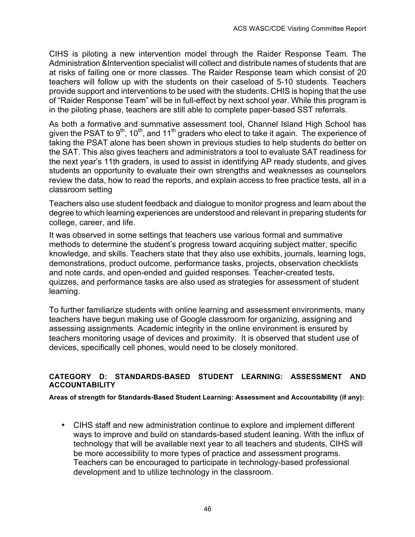CIHS is piloting a new intervention model through the Raider Response Team. The Administration &Intervention specialist will collect and distribute names of students that are at risks of failing one or more classes. The Raider Response team which consist of 20 teachers will follow up with the students on their caseload of 5-10 students. Teachers provide support and interventions to be used with the students. CHIS is hoping that the use of "Raider Response Team" will be in full-effect by next school year. While this program is in the piloting phase, teachers are still able to complete paper-based SST referrals.

As both a formative and summative assessment tool, Channel Island High School has given the PSAT to 9<sup>th</sup>, 10<sup>th</sup>, and 11<sup>th</sup> graders who elect to take it again. The experience of taking the PSAT alone has been shown in previous studies to help students do better on the SAT. This also gives teachers and administrators a tool to evaluate SAT readiness for the next year's 11th graders, is used to assist in identifying AP ready students, and gives students an opportunity to evaluate their own strengths and weaknesses as counselors review the data, how to read the reports, and explain access to free practice tests, all in a classroom setting

Teachers also use student feedback and dialogue to monitor progress and learn about the degree to which learning experiences are understood and relevant in preparing students for college, career, and life.

It was observed in some settings that teachers use various formal and summative methods to determine the student's progress toward acquiring subject matter, specific knowledge, and skills. Teachers state that they also use exhibits, journals, learning logs, demonstrations, product outcome, performance tasks, projects, observation checklists and note cards, and open-ended and guided responses. Teacher-created tests, quizzes, and performance tasks are also used as strategies for assessment of student learning.

To further familiarize students with online learning and assessment environments, many teachers have begun making use of Google classroom for organizing, assigning and assessing assignments. Academic integrity in the online environment is ensured by teachers monitoring usage of devices and proximity. It is observed that student use of devices, specifically cell phones, would need to be closely monitored.

#### **CATEGORY D: STANDARDS-BASED STUDENT LEARNING: ASSESSMENT AND ACCOUNTABILITY**

**Areas of strength for Standards-Based Student Learning: Assessment and Accountability (if any):**

• CIHS staff and new administration continue to explore and implement different ways to improve and build on standards-based student leaning. With the influx of technology that will be available next year to all teachers and students, CIHS will be more accessibility to more types of practice and assessment programs. Teachers can be encouraged to participate in technology-based professional development and to utilize technology in the classroom.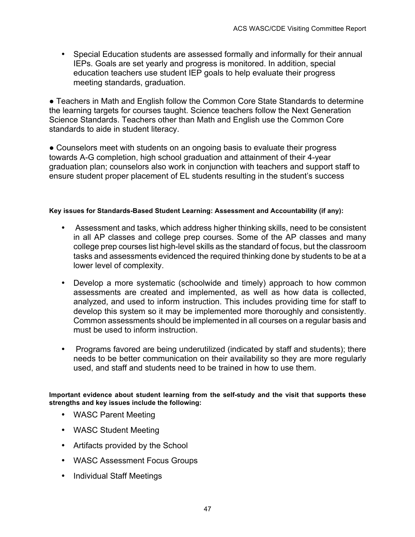• Special Education students are assessed formally and informally for their annual IEPs. Goals are set yearly and progress is monitored. In addition, special education teachers use student IEP goals to help evaluate their progress meeting standards, graduation.

● Teachers in Math and English follow the Common Core State Standards to determine the learning targets for courses taught. Science teachers follow the Next Generation Science Standards. Teachers other than Math and English use the Common Core standards to aide in student literacy.

• Counselors meet with students on an ongoing basis to evaluate their progress towards A-G completion, high school graduation and attainment of their 4-year graduation plan; counselors also work in conjunction with teachers and support staff to ensure student proper placement of EL students resulting in the student's success

#### **Key issues for Standards-Based Student Learning: Assessment and Accountability (if any):**

- Assessment and tasks, which address higher thinking skills, need to be consistent in all AP classes and college prep courses. Some of the AP classes and many college prep courses list high-level skills as the standard of focus, but the classroom tasks and assessments evidenced the required thinking done by students to be at a lower level of complexity.
- Develop a more systematic (schoolwide and timely) approach to how common assessments are created and implemented, as well as how data is collected, analyzed, and used to inform instruction. This includes providing time for staff to develop this system so it may be implemented more thoroughly and consistently. Common assessments should be implemented in all courses on a regular basis and must be used to inform instruction.
- Programs favored are being underutilized (indicated by staff and students); there needs to be better communication on their availability so they are more regularly used, and staff and students need to be trained in how to use them.

**Important evidence about student learning from the self-study and the visit that supports these strengths and key issues include the following:**

- WASC Parent Meeting
- WASC Student Meeting
- Artifacts provided by the School
- WASC Assessment Focus Groups
- Individual Staff Meetings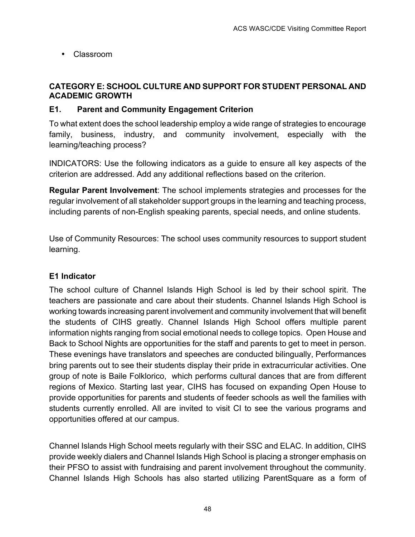• Classroom

# **CATEGORY E: SCHOOL CULTURE AND SUPPORT FOR STUDENT PERSONAL AND ACADEMIC GROWTH**

# **E1. Parent and Community Engagement Criterion**

To what extent does the school leadership employ a wide range of strategies to encourage family, business, industry, and community involvement, especially with the learning/teaching process?

INDICATORS: Use the following indicators as a guide to ensure all key aspects of the criterion are addressed. Add any additional reflections based on the criterion.

**Regular Parent Involvement**: The school implements strategies and processes for the regular involvement of all stakeholder support groups in the learning and teaching process, including parents of non-English speaking parents, special needs, and online students.

Use of Community Resources: The school uses community resources to support student learning.

# **E1 Indicator**

The school culture of Channel Islands High School is led by their school spirit. The teachers are passionate and care about their students. Channel Islands High School is working towards increasing parent involvement and community involvement that will benefit the students of CIHS greatly. Channel Islands High School offers multiple parent information nights ranging from social emotional needs to college topics. Open House and Back to School Nights are opportunities for the staff and parents to get to meet in person. These evenings have translators and speeches are conducted bilingually, Performances bring parents out to see their students display their pride in extracurricular activities. One group of note is Baile Folklorico, which performs cultural dances that are from different regions of Mexico. Starting last year, CIHS has focused on expanding Open House to provide opportunities for parents and students of feeder schools as well the families with students currently enrolled. All are invited to visit CI to see the various programs and opportunities offered at our campus.

Channel Islands High School meets regularly with their SSC and ELAC. In addition, CIHS provide weekly dialers and Channel Islands High School is placing a stronger emphasis on their PFSO to assist with fundraising and parent involvement throughout the community. Channel Islands High Schools has also started utilizing ParentSquare as a form of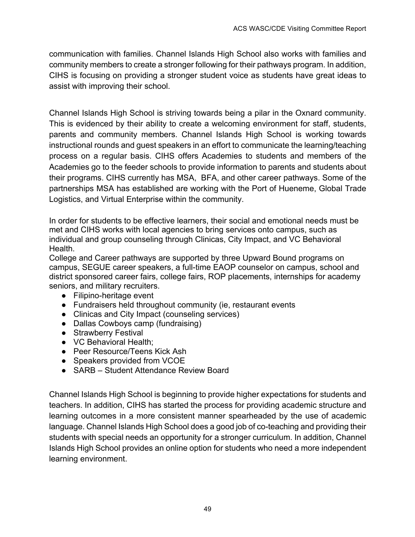communication with families. Channel Islands High School also works with families and community members to create a stronger following for their pathways program. In addition, CIHS is focusing on providing a stronger student voice as students have great ideas to assist with improving their school.

Channel Islands High School is striving towards being a pilar in the Oxnard community. This is evidenced by their ability to create a welcoming environment for staff, students, parents and community members. Channel Islands High School is working towards instructional rounds and guest speakers in an effort to communicate the learning/teaching process on a regular basis. CIHS offers Academies to students and members of the Academies go to the feeder schools to provide information to parents and students about their programs. CIHS currently has MSA, BFA, and other career pathways. Some of the partnerships MSA has established are working with the Port of Hueneme, Global Trade Logistics, and Virtual Enterprise within the community.

In order for students to be effective learners, their social and emotional needs must be met and CIHS works with local agencies to bring services onto campus, such as individual and group counseling through Clinicas, City Impact, and VC Behavioral Health.

College and Career pathways are supported by three Upward Bound programs on campus, SEGUE career speakers, a full-time EAOP counselor on campus, school and district sponsored career fairs, college fairs, ROP placements, internships for academy seniors, and military recruiters.

- Filipino-heritage event
- Fundraisers held throughout community (ie, restaurant events
- Clinicas and City Impact (counseling services)
- Dallas Cowboys camp (fundraising)
- Strawberry Festival
- VC Behavioral Health;
- Peer Resource/Teens Kick Ash
- Speakers provided from VCOE
- SARB Student Attendance Review Board

Channel Islands High School is beginning to provide higher expectations for students and teachers. In addition, CIHS has started the process for providing academic structure and learning outcomes in a more consistent manner spearheaded by the use of academic language. Channel Islands High School does a good job of co-teaching and providing their students with special needs an opportunity for a stronger curriculum. In addition, Channel Islands High School provides an online option for students who need a more independent learning environment.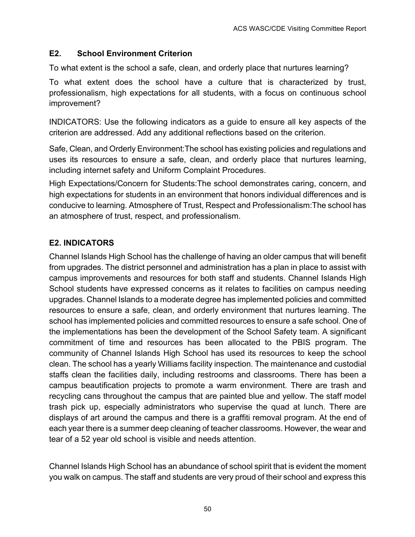# **E2. School Environment Criterion**

To what extent is the school a safe, clean, and orderly place that nurtures learning?

To what extent does the school have a culture that is characterized by trust, professionalism, high expectations for all students, with a focus on continuous school improvement?

INDICATORS: Use the following indicators as a guide to ensure all key aspects of the criterion are addressed. Add any additional reflections based on the criterion.

Safe, Clean, and Orderly Environment:The school has existing policies and regulations and uses its resources to ensure a safe, clean, and orderly place that nurtures learning, including internet safety and Uniform Complaint Procedures.

High Expectations/Concern for Students:The school demonstrates caring, concern, and high expectations for students in an environment that honors individual differences and is conducive to learning. Atmosphere of Trust, Respect and Professionalism:The school has an atmosphere of trust, respect, and professionalism.

# **E2. INDICATORS**

Channel Islands High School has the challenge of having an older campus that will benefit from upgrades. The district personnel and administration has a plan in place to assist with campus improvements and resources for both staff and students. Channel Islands High School students have expressed concerns as it relates to facilities on campus needing upgrades. Channel Islands to a moderate degree has implemented policies and committed resources to ensure a safe, clean, and orderly environment that nurtures learning. The school has implemented policies and committed resources to ensure a safe school. One of the implementations has been the development of the School Safety team. A significant commitment of time and resources has been allocated to the PBIS program. The community of Channel Islands High School has used its resources to keep the school clean. The school has a yearly Williams facility inspection. The maintenance and custodial staffs clean the facilities daily, including restrooms and classrooms. There has been a campus beautification projects to promote a warm environment. There are trash and recycling cans throughout the campus that are painted blue and yellow. The staff model trash pick up, especially administrators who supervise the quad at lunch. There are displays of art around the campus and there is a graffiti removal program. At the end of each year there is a summer deep cleaning of teacher classrooms. However, the wear and tear of a 52 year old school is visible and needs attention.

Channel Islands High School has an abundance of school spirit that is evident the moment you walk on campus. The staff and students are very proud of their school and express this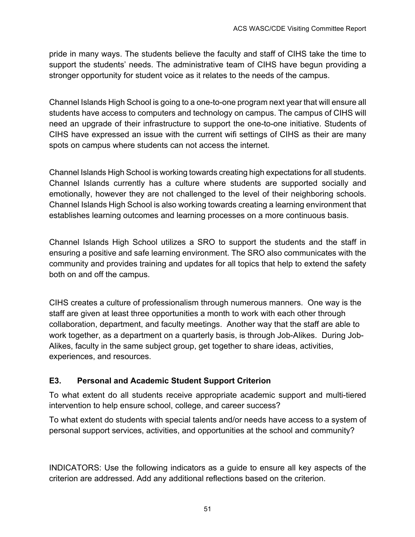pride in many ways. The students believe the faculty and staff of CIHS take the time to support the students' needs. The administrative team of CIHS have begun providing a stronger opportunity for student voice as it relates to the needs of the campus.

Channel Islands High School is going to a one-to-one program next year that will ensure all students have access to computers and technology on campus. The campus of CIHS will need an upgrade of their infrastructure to support the one-to-one initiative. Students of CIHS have expressed an issue with the current wifi settings of CIHS as their are many spots on campus where students can not access the internet.

Channel Islands High School is working towards creating high expectations for all students. Channel Islands currently has a culture where students are supported socially and emotionally, however they are not challenged to the level of their neighboring schools. Channel Islands High School is also working towards creating a learning environment that establishes learning outcomes and learning processes on a more continuous basis.

Channel Islands High School utilizes a SRO to support the students and the staff in ensuring a positive and safe learning environment. The SRO also communicates with the community and provides training and updates for all topics that help to extend the safety both on and off the campus.

CIHS creates a culture of professionalism through numerous manners. One way is the staff are given at least three opportunities a month to work with each other through collaboration, department, and faculty meetings. Another way that the staff are able to work together, as a department on a quarterly basis, is through Job-Alikes. During Job-Alikes, faculty in the same subject group, get together to share ideas, activities, experiences, and resources.

# **E3. Personal and Academic Student Support Criterion**

To what extent do all students receive appropriate academic support and multi-tiered intervention to help ensure school, college, and career success?

To what extent do students with special talents and/or needs have access to a system of personal support services, activities, and opportunities at the school and community?

INDICATORS: Use the following indicators as a guide to ensure all key aspects of the criterion are addressed. Add any additional reflections based on the criterion.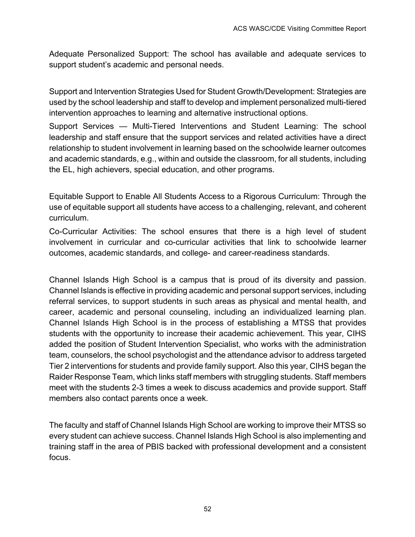Adequate Personalized Support: The school has available and adequate services to support student's academic and personal needs.

Support and Intervention Strategies Used for Student Growth/Development: Strategies are used by the school leadership and staff to develop and implement personalized multi-tiered intervention approaches to learning and alternative instructional options.

Support Services — Multi-Tiered Interventions and Student Learning: The school leadership and staff ensure that the support services and related activities have a direct relationship to student involvement in learning based on the schoolwide learner outcomes and academic standards, e.g., within and outside the classroom, for all students, including the EL, high achievers, special education, and other programs.

Equitable Support to Enable All Students Access to a Rigorous Curriculum: Through the use of equitable support all students have access to a challenging, relevant, and coherent curriculum.

Co-Curricular Activities: The school ensures that there is a high level of student involvement in curricular and co-curricular activities that link to schoolwide learner outcomes, academic standards, and college- and career-readiness standards.

Channel Islands High School is a campus that is proud of its diversity and passion. Channel Islands is effective in providing academic and personal support services, including referral services, to support students in such areas as physical and mental health, and career, academic and personal counseling, including an individualized learning plan. Channel Islands High School is in the process of establishing a MTSS that provides students with the opportunity to increase their academic achievement. This year, CIHS added the position of Student Intervention Specialist, who works with the administration team, counselors, the school psychologist and the attendance advisor to address targeted Tier 2 interventions for students and provide family support. Also this year, CIHS began the Raider Response Team, which links staff members with struggling students. Staff members meet with the students 2-3 times a week to discuss academics and provide support. Staff members also contact parents once a week.

The faculty and staff of Channel Islands High School are working to improve their MTSS so every student can achieve success. Channel Islands High School is also implementing and training staff in the area of PBIS backed with professional development and a consistent focus.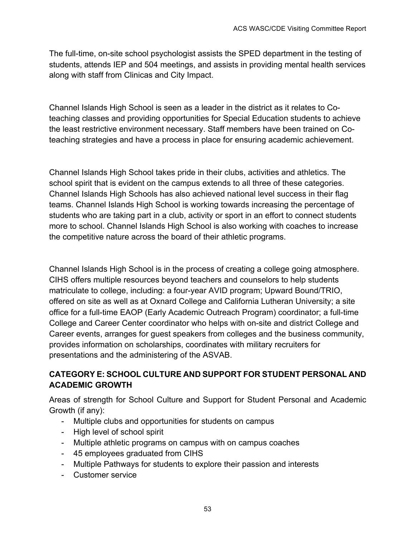The full-time, on-site school psychologist assists the SPED department in the testing of students, attends IEP and 504 meetings, and assists in providing mental health services along with staff from Clinicas and City Impact.

Channel Islands High School is seen as a leader in the district as it relates to Coteaching classes and providing opportunities for Special Education students to achieve the least restrictive environment necessary. Staff members have been trained on Coteaching strategies and have a process in place for ensuring academic achievement.

Channel Islands High School takes pride in their clubs, activities and athletics. The school spirit that is evident on the campus extends to all three of these categories. Channel Islands High Schools has also achieved national level success in their flag teams. Channel Islands High School is working towards increasing the percentage of students who are taking part in a club, activity or sport in an effort to connect students more to school. Channel Islands High School is also working with coaches to increase the competitive nature across the board of their athletic programs.

Channel Islands High School is in the process of creating a college going atmosphere. CIHS offers multiple resources beyond teachers and counselors to help students matriculate to college, including: a four-year AVID program; Upward Bound/TRIO, offered on site as well as at Oxnard College and California Lutheran University; a site office for a full-time EAOP (Early Academic Outreach Program) coordinator; a full-time College and Career Center coordinator who helps with on-site and district College and Career events, arranges for guest speakers from colleges and the business community, provides information on scholarships, coordinates with military recruiters for presentations and the administering of the ASVAB.

# **CATEGORY E: SCHOOL CULTURE AND SUPPORT FOR STUDENT PERSONAL AND ACADEMIC GROWTH**

Areas of strength for School Culture and Support for Student Personal and Academic Growth (if any):

- Multiple clubs and opportunities for students on campus
- High level of school spirit
- Multiple athletic programs on campus with on campus coaches
- 45 employees graduated from CIHS
- Multiple Pathways for students to explore their passion and interests
- Customer service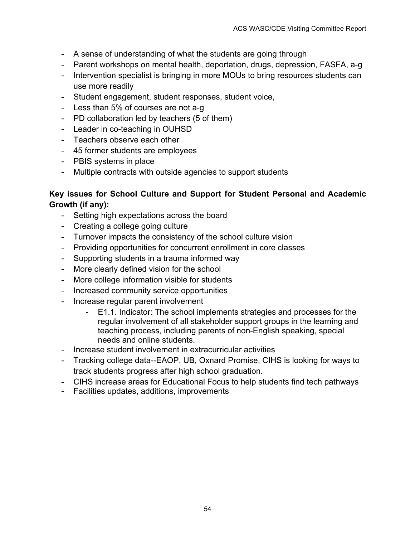- A sense of understanding of what the students are going through
- Parent workshops on mental health, deportation, drugs, depression, FASFA, a-g
- Intervention specialist is bringing in more MOUs to bring resources students can use more readily
- Student engagement, student responses, student voice,
- Less than 5% of courses are not a-g
- PD collaboration led by teachers (5 of them)
- Leader in co-teaching in OUHSD
- Teachers observe each other
- 45 former students are employees
- PBIS systems in place
- Multiple contracts with outside agencies to support students

# **Key issues for School Culture and Support for Student Personal and Academic Growth (if any):**

- Setting high expectations across the board
- Creating a college going culture
- Turnover impacts the consistency of the school culture vision
- Providing opportunities for concurrent enrollment in core classes
- Supporting students in a trauma informed way
- More clearly defined vision for the school
- More college information visible for students
- Increased community service opportunities
- Increase regular parent involvement
	- E1.1. Indicator: The school implements strategies and processes for the regular involvement of all stakeholder support groups in the learning and teaching process, including parents of non-English speaking, special needs and online students.
- Increase student involvement in extracurricular activities
- Tracking college data--EAOP, UB, Oxnard Promise, CIHS is looking for ways to track students progress after high school graduation.
- CIHS increase areas for Educational Focus to help students find tech pathways
- Facilities updates, additions, improvements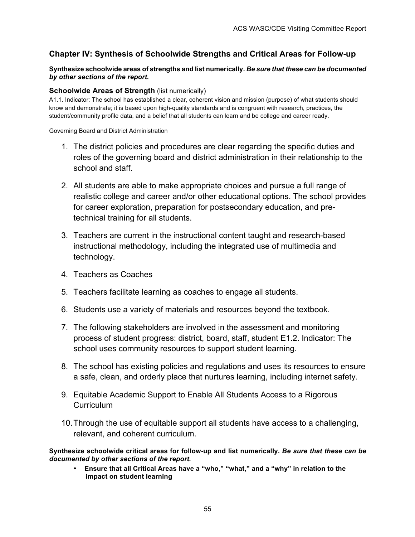# **Chapter IV: Synthesis of Schoolwide Strengths and Critical Areas for Follow-up**

#### **Synthesize schoolwide areas of strengths and list numerically.** *Be sure that these can be documented by other sections of the report.*

#### **Schoolwide Areas of Strength (list numerically)**

A1.1. Indicator: The school has established a clear, coherent vision and mission (purpose) of what students should know and demonstrate; it is based upon high-quality standards and is congruent with research, practices, the student/community profile data, and a belief that all students can learn and be college and career ready.

Governing Board and District Administration

- 1. The district policies and procedures are clear regarding the specific duties and roles of the governing board and district administration in their relationship to the school and staff.
- 2. All students are able to make appropriate choices and pursue a full range of realistic college and career and/or other educational options. The school provides for career exploration, preparation for postsecondary education, and pretechnical training for all students.
- 3. Teachers are current in the instructional content taught and research-based instructional methodology, including the integrated use of multimedia and technology.
- 4. Teachers as Coaches
- 5. Teachers facilitate learning as coaches to engage all students.
- 6. Students use a variety of materials and resources beyond the textbook.
- 7. The following stakeholders are involved in the assessment and monitoring process of student progress: district, board, staff, student E1.2. Indicator: The school uses community resources to support student learning.
- 8. The school has existing policies and regulations and uses its resources to ensure a safe, clean, and orderly place that nurtures learning, including internet safety.
- 9. Equitable Academic Support to Enable All Students Access to a Rigorous **Curriculum**
- 10.Through the use of equitable support all students have access to a challenging, relevant, and coherent curriculum.

**Synthesize schoolwide critical areas for follow-up and list numerically.** *Be sure that these can be documented by other sections of the report.*

• **Ensure that all Critical Areas have a "who," "what," and a "why" in relation to the impact on student learning**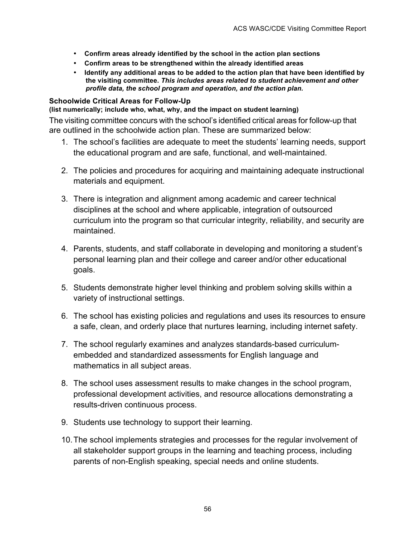- **Confirm areas already identified by the school in the action plan sections**
- **Confirm areas to be strengthened within the already identified areas**
- **Identify any additional areas to be added to the action plan that have been identified by the visiting committee.** *This includes areas related to student achievement and other profile data, the school program and operation, and the action plan.*

#### **Schoolwide Critical Areas for Follow-Up**

**(list numerically; include who, what, why, and the impact on student learning)**

The visiting committee concurs with the school's identified critical areas for follow-up that are outlined in the schoolwide action plan. These are summarized below:

- 1. The school's facilities are adequate to meet the students' learning needs, support the educational program and are safe, functional, and well-maintained.
- 2. The policies and procedures for acquiring and maintaining adequate instructional materials and equipment.
- 3. There is integration and alignment among academic and career technical disciplines at the school and where applicable, integration of outsourced curriculum into the program so that curricular integrity, reliability, and security are maintained.
- 4. Parents, students, and staff collaborate in developing and monitoring a student's personal learning plan and their college and career and/or other educational goals.
- 5. Students demonstrate higher level thinking and problem solving skills within a variety of instructional settings.
- 6. The school has existing policies and regulations and uses its resources to ensure a safe, clean, and orderly place that nurtures learning, including internet safety.
- 7. The school regularly examines and analyzes standards-based curriculumembedded and standardized assessments for English language and mathematics in all subject areas.
- 8. The school uses assessment results to make changes in the school program, professional development activities, and resource allocations demonstrating a results-driven continuous process.
- 9. Students use technology to support their learning.
- 10.The school implements strategies and processes for the regular involvement of all stakeholder support groups in the learning and teaching process, including parents of non-English speaking, special needs and online students.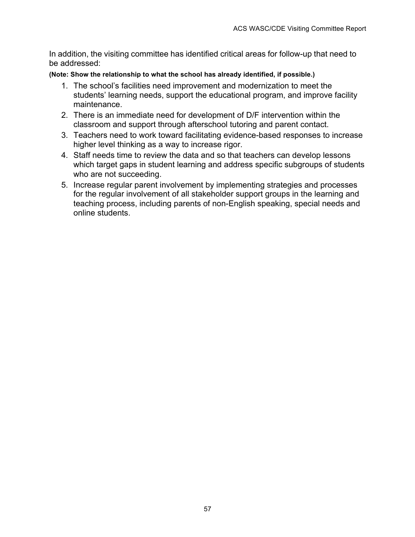In addition, the visiting committee has identified critical areas for follow-up that need to be addressed:

**(Note: Show the relationship to what the school has already identified, if possible.)**

- 1. The school's facilities need improvement and modernization to meet the students' learning needs, support the educational program, and improve facility maintenance.
- 2. There is an immediate need for development of D/F intervention within the classroom and support through afterschool tutoring and parent contact.
- 3. Teachers need to work toward facilitating evidence-based responses to increase higher level thinking as a way to increase rigor.
- 4. Staff needs time to review the data and so that teachers can develop lessons which target gaps in student learning and address specific subgroups of students who are not succeeding.
- 5. Increase regular parent involvement by implementing strategies and processes for the regular involvement of all stakeholder support groups in the learning and teaching process, including parents of non-English speaking, special needs and online students.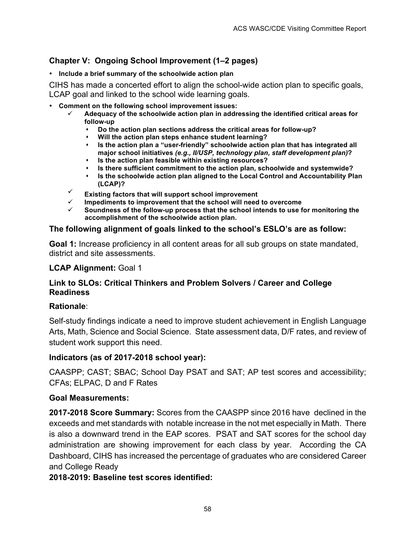# **Chapter V: Ongoing School Improvement (1–2 pages)**

• **Include a brief summary of the schoolwide action plan**

CIHS has made a concerted effort to align the school-wide action plan to specific goals, LCAP goal and linked to the school wide learning goals.

- **Comment on the following school improvement issues:**
	- ü **Adequacy of the schoolwide action plan in addressing the identified critical areas for follow-up**
		- \* Do the action plan sections address the critical areas for follow-up?
		- **\*** Will the action plan steps enhance student learning?
		- \* Is the action plan a "user-friendly" schoolwide action plan that has integrated all **major school initiatives** *(e.g., II/USP, technology plan, staff development plan)***?**
		- $\cdot$  Is the action plan feasible within existing resources?
		- s **Is there sufficient commitment to the action plan, schoolwide and systemwide?**
		- **1** Is the schoolwide action plan aligned to the Local Control and Accountability Plan **(LCAP)?**
	- Existing factors that will support school improvement
	- ü **Impediments to improvement that the school will need to overcome**
	- ü **Soundness of the follow-up process that the school intends to use for monitoring the accomplishment of the schoolwide action plan.**

#### **The following alignment of goals linked to the school's ESLO's are as follow:**

**Goal 1:** Increase proficiency in all content areas for all sub groups on state mandated, district and site assessments.

#### **LCAP Alignment:** Goal 1

#### **Link to SLOs: Critical Thinkers and Problem Solvers / Career and College Readiness**

#### **Rationale**:

Self-study findings indicate a need to improve student achievement in English Language Arts, Math, Science and Social Science. State assessment data, D/F rates, and review of student work support this need.

#### **Indicators (as of 2017-2018 school year):**

CAASPP; CAST; SBAC; School Day PSAT and SAT; AP test scores and accessibility; CFAs; ELPAC, D and F Rates

#### **Goal Measurements:**

**2017-2018 Score Summary:** Scores from the CAASPP since 2016 have declined in the exceeds and met standards with notable increase in the not met especially in Math. There is also a downward trend in the EAP scores. PSAT and SAT scores for the school day administration are showing improvement for each class by year. According the CA Dashboard, CIHS has increased the percentage of graduates who are considered Career and College Ready

#### **2018-2019: Baseline test scores identified:**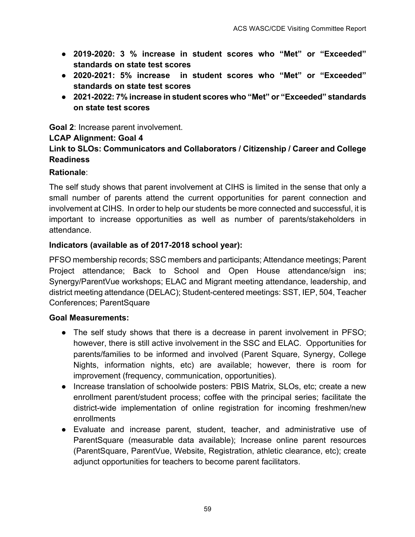- **2019-2020: 3 % increase in student scores who "Met" or "Exceeded" standards on state test scores**
- **2020-2021: 5% increase in student scores who "Met" or "Exceeded" standards on state test scores**
- **2021-2022: 7% increase in student scores who "Met" or "Exceeded" standards on state test scores**

**Goal 2**: Increase parent involvement.

### **LCAP Alignment: Goal 4**

# **Link to SLOs: Communicators and Collaborators / Citizenship / Career and College Readiness**

# **Rationale**:

The self study shows that parent involvement at CIHS is limited in the sense that only a small number of parents attend the current opportunities for parent connection and involvement at CIHS. In order to help our students be more connected and successful, it is important to increase opportunities as well as number of parents/stakeholders in attendance.

### **Indicators (available as of 2017-2018 school year):**

PFSO membership records; SSC members and participants; Attendance meetings; Parent Project attendance; Back to School and Open House attendance/sign ins; Synergy/ParentVue workshops; ELAC and Migrant meeting attendance, leadership, and district meeting attendance (DELAC); Student-centered meetings: SST, IEP, 504, Teacher Conferences; ParentSquare

#### **Goal Measurements:**

- The self study shows that there is a decrease in parent involvement in PFSO; however, there is still active involvement in the SSC and ELAC. Opportunities for parents/families to be informed and involved (Parent Square, Synergy, College Nights, information nights, etc) are available; however, there is room for improvement (frequency, communication, opportunities).
- Increase translation of schoolwide posters: PBIS Matrix, SLOs, etc; create a new enrollment parent/student process; coffee with the principal series; facilitate the district-wide implementation of online registration for incoming freshmen/new enrollments
- Evaluate and increase parent, student, teacher, and administrative use of ParentSquare (measurable data available); Increase online parent resources (ParentSquare, ParentVue, Website, Registration, athletic clearance, etc); create adjunct opportunities for teachers to become parent facilitators.